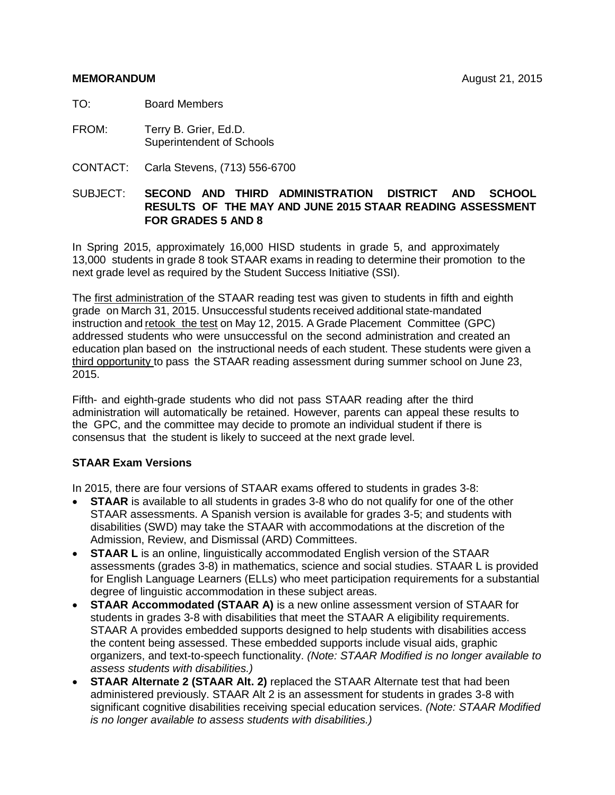#### **MEMORANDUM** August 21, 2015

TO: Board Members

- FROM: Terry B. Grier, Ed.D. Superintendent of Schools
- CONTACT: Carla Stevens, (713) 556-6700

## SUBJECT: **SECOND AND THIRD ADMINISTRATION DISTRICT AND SCHOOL RESULTS OF THE MAY AND JUNE 2015 STAAR READING ASSESSMENT FOR GRADES 5 AND 8**

In Spring 2015, approximately 16,000 HISD students in grade 5, and approximately 13,000 students in grade 8 took STAAR exams in reading to determine their promotion to the next grade level as required by the Student Success Initiative (SSI).

The first administration of the STAAR reading test was given to students in fifth and eighth grade on March 31, 2015. Unsuccessful students received additional state-mandated instruction and retook the test on May 12, 2015. A Grade Placement Committee (GPC) addressed students who were unsuccessful on the second administration and created an education plan based on the instructional needs of each student. These students were given a third opportunity to pass the STAAR reading assessment during summer school on June 23, 2015.

Fifth- and eighth-grade students who did not pass STAAR reading after the third administration will automatically be retained. However, parents can appeal these results to the GPC, and the committee may decide to promote an individual student if there is consensus that the student is likely to succeed at the next grade level.

# **STAAR Exam Versions**

In 2015, there are four versions of STAAR exams offered to students in grades 3-8:

- **STAAR** is available to all students in grades 3-8 who do not qualify for one of the other STAAR assessments. A Spanish version is available for grades 3-5; and students with disabilities (SWD) may take the STAAR with accommodations at the discretion of the Admission, Review, and Dismissal (ARD) Committees.
- **STAAR L** is an online, linguistically accommodated English version of the STAAR assessments (grades 3-8) in mathematics, science and social studies. STAAR L is provided for English Language Learners (ELLs) who meet participation requirements for a substantial degree of linguistic accommodation in these subject areas.
- **STAAR Accommodated (STAAR A)** is a new online assessment version of STAAR for students in grades 3-8 with disabilities that meet the STAAR A eligibility requirements. STAAR A provides embedded supports designed to help students with disabilities access the content being assessed. These embedded supports include visual aids, graphic organizers, and text-to-speech functionality. *(Note: STAAR Modified is no longer available to assess students with disabilities.)*
- **STAAR Alternate 2 (STAAR Alt. 2)** replaced the STAAR Alternate test that had been administered previously. STAAR Alt 2 is an assessment for students in grades 3-8 with significant cognitive disabilities receiving special education services. *(Note: STAAR Modified is no longer available to assess students with disabilities.)*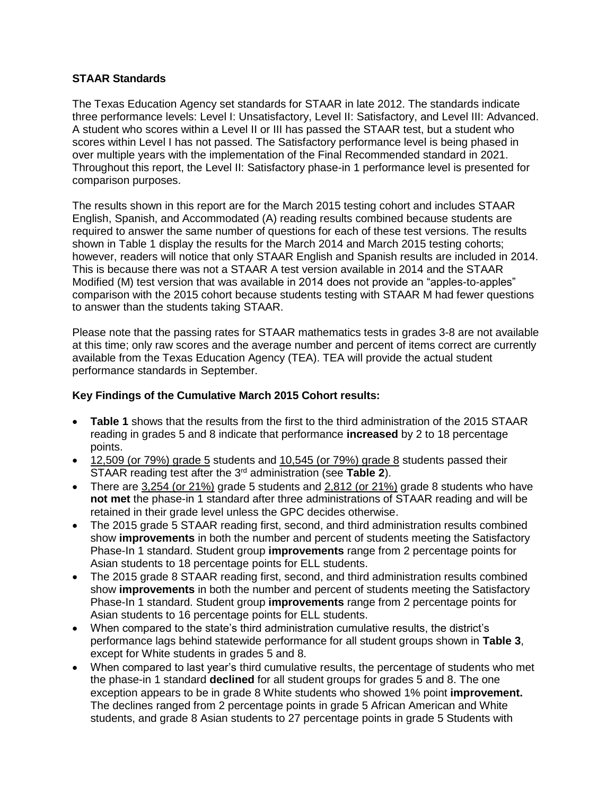### **STAAR Standards**

The Texas Education Agency set standards for STAAR in late 2012. The standards indicate three performance levels: Level I: Unsatisfactory, Level II: Satisfactory, and Level III: Advanced. A student who scores within a Level II or III has passed the STAAR test, but a student who scores within Level I has not passed. The Satisfactory performance level is being phased in over multiple years with the implementation of the Final Recommended standard in 2021. Throughout this report, the Level II: Satisfactory phase-in 1 performance level is presented for comparison purposes.

The results shown in this report are for the March 2015 testing cohort and includes STAAR English, Spanish, and Accommodated (A) reading results combined because students are required to answer the same number of questions for each of these test versions. The results shown in Table 1 display the results for the March 2014 and March 2015 testing cohorts; however, readers will notice that only STAAR English and Spanish results are included in 2014. This is because there was not a STAAR A test version available in 2014 and the STAAR Modified (M) test version that was available in 2014 does not provide an "apples-to-apples" comparison with the 2015 cohort because students testing with STAAR M had fewer questions to answer than the students taking STAAR.

Please note that the passing rates for STAAR mathematics tests in grades 3-8 are not available at this time; only raw scores and the average number and percent of items correct are currently available from the Texas Education Agency (TEA). TEA will provide the actual student performance standards in September.

## **Key Findings of the Cumulative March 2015 Cohort results:**

- **Table 1** shows that the results from the first to the third administration of the 2015 STAAR reading in grades 5 and 8 indicate that performance **increased** by 2 to 18 percentage points.
- 12,509 (or 79%) grade 5 students and 10,545 (or 79%) grade 8 students passed their STAAR reading test after the 3rd administration (see **Table 2**).
- There are 3,254 (or 21%) grade 5 students and 2,812 (or 21%) grade 8 students who have **not met** the phase-in 1 standard after three administrations of STAAR reading and will be retained in their grade level unless the GPC decides otherwise.
- The 2015 grade 5 STAAR reading first, second, and third administration results combined show **improvements** in both the number and percent of students meeting the Satisfactory Phase-In 1 standard. Student group **improvements** range from 2 percentage points for Asian students to 18 percentage points for ELL students.
- The 2015 grade 8 STAAR reading first, second, and third administration results combined show **improvements** in both the number and percent of students meeting the Satisfactory Phase-In 1 standard. Student group **improvements** range from 2 percentage points for Asian students to 16 percentage points for ELL students.
- When compared to the state's third administration cumulative results, the district's performance lags behind statewide performance for all student groups shown in **Table 3**, except for White students in grades 5 and 8.
- When compared to last year's third cumulative results, the percentage of students who met the phase-in 1 standard **declined** for all student groups for grades 5 and 8. The one exception appears to be in grade 8 White students who showed 1% point **improvement.**  The declines ranged from 2 percentage points in grade 5 African American and White students, and grade 8 Asian students to 27 percentage points in grade 5 Students with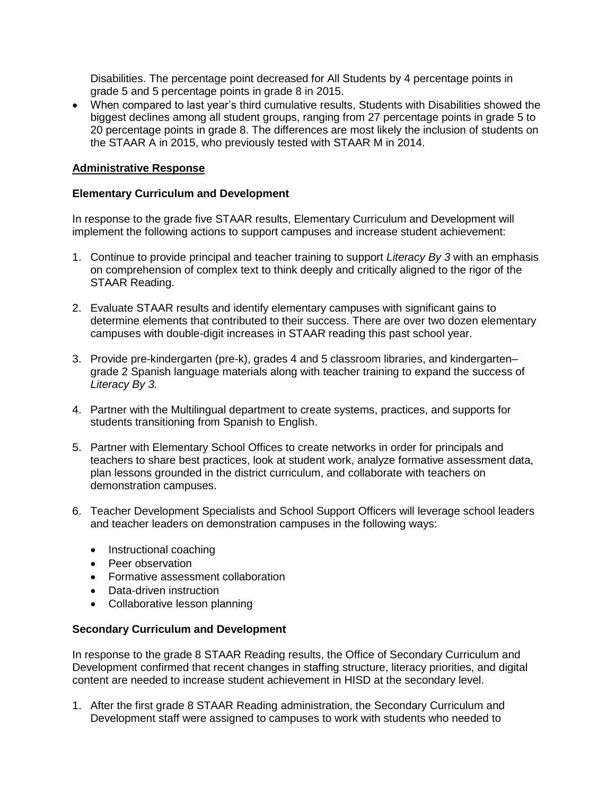Disabilities. The percentage point decreased for All Students by 4 percentage points in grade 5 and 5 percentage points in grade 8 in 2015.

 When compared to last year's third cumulative results, Students with Disabilities showed the biggest declines among all student groups, ranging from 27 percentage points in grade 5 to 20 percentage points in grade 8. The differences are most likely the inclusion of students on the STAAR A in 2015, who previously tested with STAAR M in 2014.

#### **Administrative Response**

#### **Elementary Curriculum and Development**

In response to the grade five STAAR results, Elementary Curriculum and Development will implement the following actions to support campuses and increase student achievement:

- 1. Continue to provide principal and teacher training to support *Literacy By 3* with an emphasis on comprehension of complex text to think deeply and critically aligned to the rigor of the STAAR Reading.
- 2. Evaluate STAAR results and identify elementary campuses with significant gains to determine elements that contributed to their success. There are over two dozen elementary campuses with double-digit increases in STAAR reading this past school year.
- 3. Provide pre-kindergarten (pre-k), grades 4 and 5 classroom libraries, and kindergarten– grade 2 Spanish language materials along with teacher training to expand the success of *Literacy By 3.*
- 4. Partner with the Multilingual department to create systems, practices, and supports for students transitioning from Spanish to English.
- 5. Partner with Elementary School Offices to create networks in order for principals and teachers to share best practices, look at student work, analyze formative assessment data, plan lessons grounded in the district curriculum, and collaborate with teachers on demonstration campuses.
- 6. Teacher Development Specialists and School Support Officers will leverage school leaders and teacher leaders on demonstration campuses in the following ways:
	- Instructional coaching
	- Peer observation
	- Formative assessment collaboration
	- Data-driven instruction
	- Collaborative lesson planning

#### **Secondary Curriculum and Development**

In response to the grade 8 STAAR Reading results, the Office of Secondary Curriculum and Development confirmed that recent changes in staffing structure, literacy priorities, and digital content are needed to increase student achievement in HISD at the secondary level.

1. After the first grade 8 STAAR Reading administration, the Secondary Curriculum and Development staff were assigned to campuses to work with students who needed to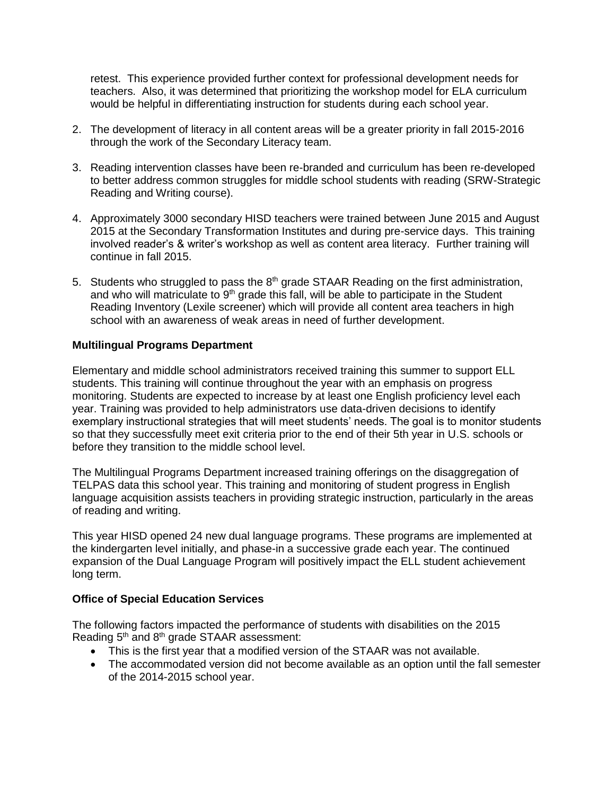retest. This experience provided further context for professional development needs for teachers. Also, it was determined that prioritizing the workshop model for ELA curriculum would be helpful in differentiating instruction for students during each school year.

- 2. The development of literacy in all content areas will be a greater priority in fall 2015-2016 through the work of the Secondary Literacy team.
- 3. Reading intervention classes have been re-branded and curriculum has been re-developed to better address common struggles for middle school students with reading (SRW-Strategic Reading and Writing course).
- 4. Approximately 3000 secondary HISD teachers were trained between June 2015 and August 2015 at the Secondary Transformation Institutes and during pre-service days. This training involved reader's & writer's workshop as well as content area literacy. Further training will continue in fall 2015.
- 5. Students who struggled to pass the  $8<sup>th</sup>$  grade STAAR Reading on the first administration, and who will matriculate to  $9<sup>th</sup>$  grade this fall, will be able to participate in the Student Reading Inventory (Lexile screener) which will provide all content area teachers in high school with an awareness of weak areas in need of further development.

## **Multilingual Programs Department**

Elementary and middle school administrators received training this summer to support ELL students. This training will continue throughout the year with an emphasis on progress monitoring. Students are expected to increase by at least one English proficiency level each year. Training was provided to help administrators use data-driven decisions to identify exemplary instructional strategies that will meet students' needs. The goal is to monitor students so that they successfully meet exit criteria prior to the end of their 5th year in U.S. schools or before they transition to the middle school level.

The Multilingual Programs Department increased training offerings on the disaggregation of TELPAS data this school year. This training and monitoring of student progress in English language acquisition assists teachers in providing strategic instruction, particularly in the areas of reading and writing.

This year HISD opened 24 new dual language programs. These programs are implemented at the kindergarten level initially, and phase-in a successive grade each year. The continued expansion of the Dual Language Program will positively impact the ELL student achievement long term.

### **Office of Special Education Services**

The following factors impacted the performance of students with disabilities on the 2015 Reading  $5<sup>th</sup>$  and  $8<sup>th</sup>$  grade STAAR assessment:

- This is the first year that a modified version of the STAAR was not available.
- The accommodated version did not become available as an option until the fall semester of the 2014-2015 school year.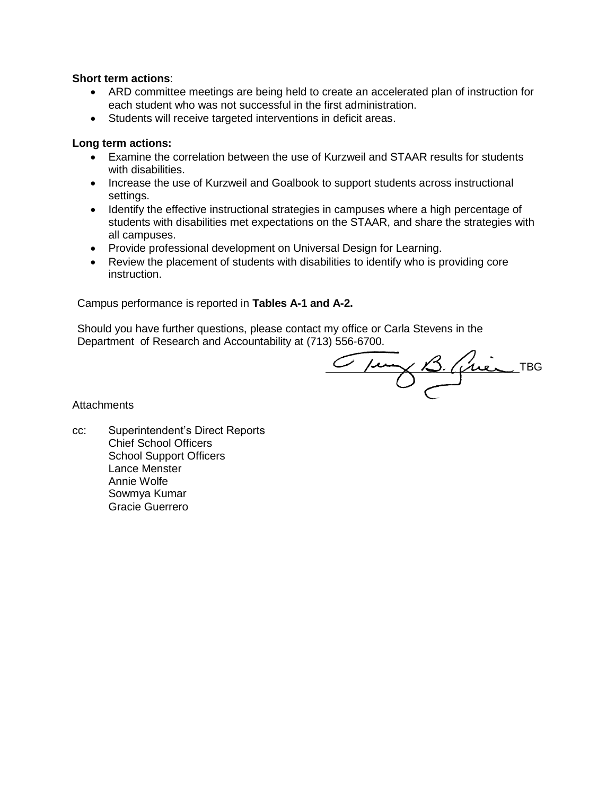#### **Short term actions**:

- ARD committee meetings are being held to create an accelerated plan of instruction for each student who was not successful in the first administration.
- Students will receive targeted interventions in deficit areas.

### **Long term actions:**

- Examine the correlation between the use of Kurzweil and STAAR results for students with disabilities.
- Increase the use of Kurzweil and Goalbook to support students across instructional settings.
- Identify the effective instructional strategies in campuses where a high percentage of students with disabilities met expectations on the STAAR, and share the strategies with all campuses.
- Provide professional development on Universal Design for Learning.
- Review the placement of students with disabilities to identify who is providing core instruction.

Campus performance is reported in **Tables A-1 and A-2.**

Should you have further questions, please contact my office or Carla Stevens in the Department of Research and Accountability at (713) 556-6700.

TBG

**Attachments** 

cc: Superintendent's Direct Reports Chief School Officers School Support Officers Lance Menster Annie Wolfe Sowmya Kumar Gracie Guerrero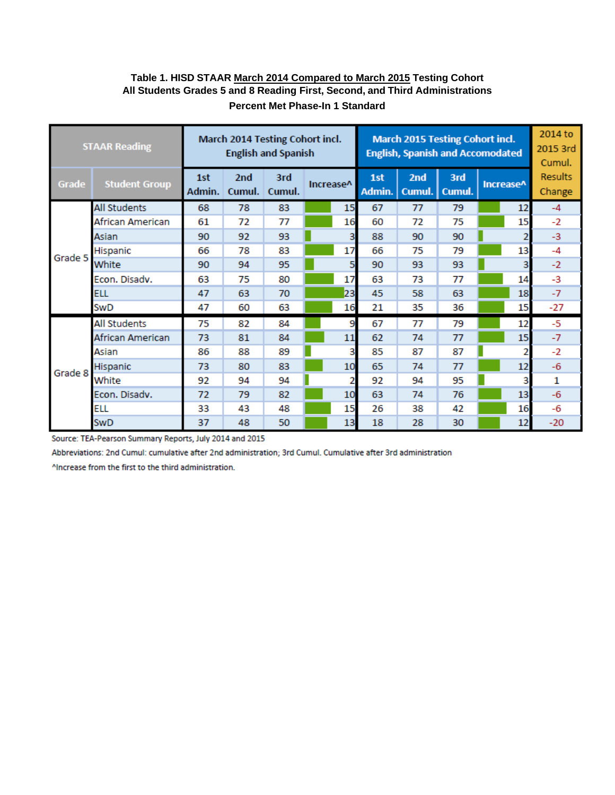## **Table 1. HISD STAAR March 2014 Compared to March 2015 Testing Cohort All Students Grades 5 and 8 Reading First, Second, and Third Administrations Percent Met Phase-In 1 Standard**

|         | <b>STAAR Reading</b> |               |                           | March 2014 Testing Cohort incl.<br><b>English and Spanish</b> |           |                |               |               | <b>March 2015 Testing Cohort incl.</b><br><b>English, Spanish and Accomodated</b> |           |    | 2014 to<br>2015 3rd<br>Cumul. |
|---------|----------------------|---------------|---------------------------|---------------------------------------------------------------|-----------|----------------|---------------|---------------|-----------------------------------------------------------------------------------|-----------|----|-------------------------------|
| Grade   | <b>Student Group</b> | 1st<br>Admin. | 2 <sub>nd</sub><br>Cumul. | 3rd<br>Cumul.                                                 | Increase^ |                | 1st<br>Admin. | 2nd<br>Cumul. | 3rd<br>Cumul.                                                                     | Increase^ |    | <b>Results</b><br>Change      |
|         | <b>All Students</b>  | 68            | 78                        | 83                                                            |           | 15             | 67            | 77            | 79                                                                                |           | 12 | $-4$                          |
|         | African American     | 61            | 72                        | 77                                                            |           | 16             | 60            | 72            | 75                                                                                |           | 15 | $-2$                          |
|         | Asian                | 90            | 92                        | 93                                                            |           | 3              | 88            | 90            | 90                                                                                |           |    | $-3$                          |
| Grade 5 | Hispanic             | 66            | 78                        | 83                                                            |           | 17             | 66            | 75            | 79                                                                                |           | 13 | $-4$                          |
|         | White                | 90            | 94                        | 95                                                            |           | 5              | 90            | 93            | 93                                                                                |           | 3  | $-2$                          |
|         | Econ. Disadv.        | 63            | 75                        | 80                                                            |           | 17             | 63            | 73            | 77                                                                                |           | 14 | $-3$                          |
|         | <b>ELL</b>           | 47            | 63                        | 70                                                            |           | 23             | 45            | 58            | 63                                                                                |           | 18 | $-7$                          |
|         | SwD                  | 47            | 60                        | 63                                                            |           | 16             | 21            | 35            | 36                                                                                |           | 15 | -27                           |
|         | <b>All Students</b>  | 75            | 82                        | 84                                                            |           | 9              | 67            | 77            | 79                                                                                |           | 12 | $-5$                          |
|         | African American     | 73            | 81                        | 84                                                            |           | 11             | 62            | 74            | 77                                                                                |           | 15 | $-7$                          |
|         | Asian                | 86            | 88                        | 89                                                            |           | 3              | 85            | 87            | 87                                                                                |           | 2  | $-2$                          |
| Grade 8 | Hispanic             | 73            | 80                        | 83                                                            |           | 10             | 65            | 74            | 77                                                                                |           | 12 | $-6$                          |
|         | White                | 92            | 94                        | 94                                                            |           | $\overline{2}$ | 92            | 94            | 95                                                                                |           | 3  | 1                             |
|         | Econ. Disadv.        | 72            | 79                        | 82                                                            |           | 10             | 63            | 74            | 76                                                                                |           | 13 | $-6$                          |
|         | <b>ELL</b>           | 33            | 43                        | 48                                                            |           | 15             | 26            | 38            | 42                                                                                |           | 16 | $-6$                          |
|         | SwD                  | 37            | 48                        | 50                                                            |           | 13             | 18            | 28            | 30                                                                                |           | 12 | $-20$                         |

Source: TEA-Pearson Summary Reports, July 2014 and 2015

Abbreviations: 2nd Cumul: cumulative after 2nd administration; 3rd Cumul. Cumulative after 3rd administration

^Increase from the first to the third administration.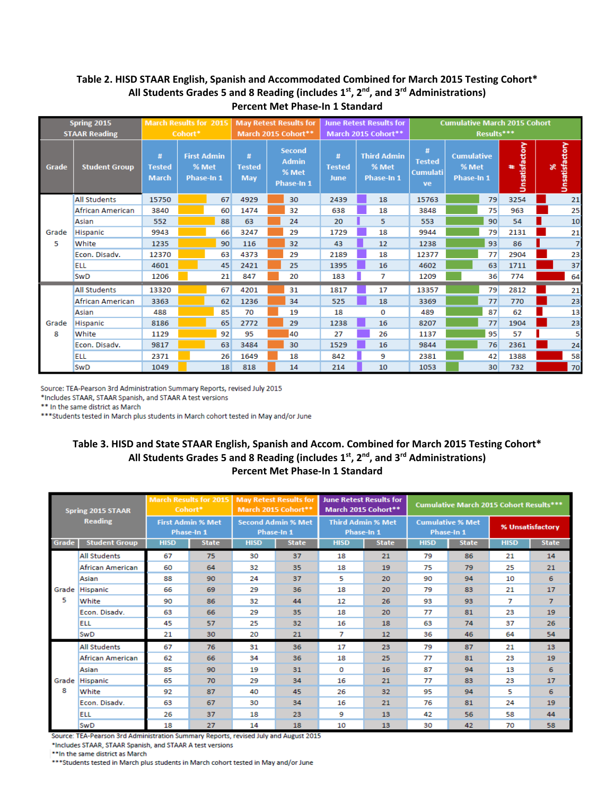|       | <b>Spring 2015</b>   | <b>March Results for 2015</b>         |         |                                                  |                                  | <b>May Retest Results for</b>                        |                                   | <b>June Retest Results for</b>            |                                             |                                                 |            | <b>Cumulative March 2015 Cohort</b> |          |                |
|-------|----------------------|---------------------------------------|---------|--------------------------------------------------|----------------------------------|------------------------------------------------------|-----------------------------------|-------------------------------------------|---------------------------------------------|-------------------------------------------------|------------|-------------------------------------|----------|----------------|
|       | <b>STAAR Reading</b> |                                       | Cohort* |                                                  |                                  | March 2015 Cohort**                                  |                                   | March 2015 Cohort**                       |                                             |                                                 | Results*** |                                     |          |                |
| Grade | <b>Student Group</b> | $\#$<br><b>Tested</b><br><b>March</b> |         | <b>First Admin</b><br>% Met<br><b>Phase-In 1</b> | Ħ<br><b>Tested</b><br><b>May</b> | <b>Second</b><br><b>Admin</b><br>% Met<br>Phase-In 1 | #<br><b>Tested</b><br><b>June</b> | <b>Third Admin</b><br>% Met<br>Phase-In 1 | #<br><b>Tested</b><br><b>Cumulati</b><br>ve | <b>Cumulative</b><br>% Met<br><b>Phase-In 1</b> |            | Unsatisfactory<br>æ                 | $\aleph$ | Unsatisfactory |
|       | <b>All Students</b>  | 15750                                 |         | 67                                               | 4929                             | 30                                                   | 2439                              | 18                                        | 15763                                       |                                                 | 79         | 3254                                |          | 21             |
|       | African American     | 3840                                  |         | 60                                               | 1474                             | 32                                                   | 638                               | 18                                        | 3848                                        |                                                 | 75         | 963                                 |          | 25             |
|       | Asian                | 552                                   |         | 88                                               | 63                               | 24                                                   | 20                                | 5                                         | 553                                         |                                                 | 90         | 54                                  |          | 10             |
| Grade | Hispanic             | 9943                                  |         | 66                                               | 3247                             | 29                                                   | 1729                              | 18                                        | 9944                                        |                                                 | 79         | 2131                                |          | 21             |
| 5     | White                | 1235                                  |         | 90                                               | 116                              | 32                                                   | 43                                | 12                                        | 1238                                        |                                                 | 93         | 86                                  |          | $\overline{7}$ |
|       | Econ. Disadv.        | 12370                                 |         | 63                                               | 4373                             | 29                                                   | 2189                              | 18                                        | 12377                                       |                                                 | 77         | 2904                                |          | 23             |
|       | ELL                  | 4601                                  |         | 45                                               | 2421                             | 25                                                   | 1395                              | 16                                        | 4602                                        |                                                 | 63         | 1711                                |          | 37             |
|       | <b>SwD</b>           | 1206                                  |         | 21                                               | 847                              | 20                                                   | 183                               | 7                                         | 1209                                        |                                                 | 36         | 774                                 |          | 64             |
|       | <b>All Students</b>  | 13320                                 |         | 67                                               | 4201                             | 31                                                   | 1817                              | 17                                        | 13357                                       |                                                 | 79         | 2812                                |          | 21             |
|       | African American     | 3363                                  |         | 62                                               | 1236                             | 34                                                   | 525                               | 18                                        | 3369                                        |                                                 | 77         | 770                                 |          | 23             |
|       | Asian                | 488                                   |         | 85                                               | 70                               | 19                                                   | 18                                | 0                                         | 489                                         |                                                 | 87         | 62                                  |          | 13             |
| Grade | Hispanic             | 8186                                  |         | 65                                               | 2772                             | 29                                                   | 1238                              | 16                                        | 8207                                        |                                                 | 77         | 1904                                |          | 23             |
| 8     | White                | 1129                                  |         | 92                                               | 95                               | 40                                                   | 27                                | 26                                        | 1137                                        |                                                 | 95         | 57                                  |          | 5              |
|       | Econ. Disadv.        | 9817                                  |         | 63                                               | 3484                             | 30                                                   | 1529                              | 16                                        | 9844                                        |                                                 | 76         | 2361                                |          | 24             |
|       | <b>ELL</b>           | 2371                                  |         | 26                                               | 1649                             | 18                                                   | 842                               | 9                                         | 2381                                        |                                                 | 42         | 1388                                |          | 58             |
|       | <b>SwD</b>           | 1049                                  |         | 18                                               | 818                              | 14                                                   | 214                               | 10                                        | 1053                                        |                                                 | 30         | 732                                 |          | 70             |

Source: TEA-Pearson 3rd Administration Summary Reports, revised July 2015

\*Includes STAAR, STAAR Spanish, and STAAR A test versions

\*\* In the same district as March

\*\*\* Students tested in March plus students in March cohort tested in May and/or June

#### **Table 3. HISD and State STAAR English, Spanish and Accom. Combined for March 2015 Testing Cohort\* All Students Grades 5 and 8 Reading (includes 1st, 2nd, and 3rd Administrations) Percent Met Phase‐In 1 Standard**

|       | <b>Spring 2015 STAAR</b> | Cohort*     | <b>March Results for 2015</b>          |             | <b>May Retest Results for</b><br>March 2015 Cohort** | <b>June Retest Results for</b><br>March 2015 Cohort** |              |             | <b>Cumulative March 2015 Cohort Results***</b> |             |                  |
|-------|--------------------------|-------------|----------------------------------------|-------------|------------------------------------------------------|-------------------------------------------------------|--------------|-------------|------------------------------------------------|-------------|------------------|
|       | <b>Reading</b>           |             | <b>First Admin % Met</b><br>Phase-In 1 |             | <b>Second Admin % Met</b><br>Phase-In 1              | <b>Third Admin % Met</b><br>Phase-In 1                |              |             | <b>Cumulative % Met</b><br>Phase-In 1          |             | % Unsatisfactory |
| Grade | <b>Student Group</b>     | <b>HISD</b> | <b>State</b>                           | <b>HISD</b> | <b>State</b>                                         | <b>HISD</b>                                           | <b>State</b> | <b>HISD</b> | <b>State</b>                                   | <b>HISD</b> | <b>State</b>     |
|       | <b>All Students</b>      | 67          | 75                                     | 30          | 37                                                   | 18                                                    | 21           | 79          | 86                                             | 21          | 14               |
|       | African American         | 60          | 64                                     | 32          | 35                                                   | 18                                                    | 19           | 75          | 79                                             | 25          | 21               |
|       | Asian                    | 88          | 90                                     | 24          | 37                                                   | 5                                                     | 20           | 90          | 94                                             | 10          | 6                |
| Grade | <b>Hispanic</b>          | 66          | 69                                     | 29          | 36                                                   | 18                                                    | 20           | 79          | 83                                             | 21          | 17               |
| 5     | White                    | 90          | 86                                     | 32          | 44                                                   | 12                                                    | 26           | 93          | 93                                             | 7           | $\overline{7}$   |
|       | Econ, Disadv.            | 63          | 66                                     | 29          | 35                                                   | 18                                                    | 20           | 77          | 81                                             | 23          | 19               |
|       | <b>ELL</b>               | 45          | 57                                     | 25          | 32                                                   | 16                                                    | 18           | 63          | 74                                             | 37          | 26               |
|       | <b>SwD</b>               | 21          | 30                                     | 20          | 21                                                   | 7                                                     | 12           | 36          | 46                                             | 64          | 54               |
|       | <b>All Students</b>      | 67          | 76                                     | 31          | 36                                                   | 17                                                    | 23           | 79          | 87                                             | 21          | 13               |
|       | African American         | 62          | 66                                     | 34          | 36                                                   | 18                                                    | 25           | 77          | 81                                             | 23          | 19               |
|       | Asian                    | 85          | 90                                     | 19          | 31                                                   | 0                                                     | 16           | 87          | 94                                             | 13          | 6                |
|       | Grade Hispanic           | 65          | 70                                     | 29          | 34                                                   | 16                                                    | 21           | 77          | 83                                             | 23          | 17               |
| 8     | White                    | 92          | 87                                     | 40          | 45                                                   | 26                                                    | 32           | 95          | 94                                             | 5           | 6                |
|       | Econ. Disadv.            | 63          | 67                                     | 30          | 34                                                   | 16                                                    | 21           | 76          | 81                                             | 24          | 19               |
|       | <b>ELL</b>               | 26          | 37                                     | 18          | 23                                                   | 9                                                     | 13           | 42          | 56                                             | 58          | 44               |
|       | <b>SwD</b>               | 18          | 27                                     | 14          | 18                                                   | 10                                                    | 13           | 30          | 42                                             | 70          | 58               |

Source: TEA-Pearson 3rd Administration Summary Reports, revised July and August 2015

\*Includes STAAR, STAAR Spanish, and STAAR A test versions

\*\* In the same district as March

\*\*\* Students tested in March plus students in March cohort tested in May and/or June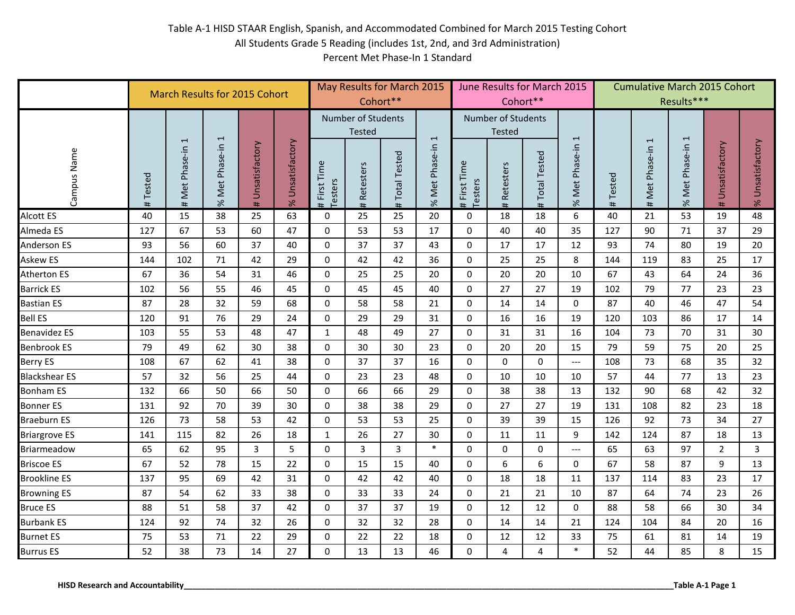|                                         |             | <b>March Results for 2015 Cohort</b> |                |                     |                        |                                |                                            | May Results for March 2015<br>Cohort** |                |                                | Cohort**                            | June Results for March 2015 |                                     |             | <b>Cumulative March 2015 Cohort</b> | Results***       |                     |                        |
|-----------------------------------------|-------------|--------------------------------------|----------------|---------------------|------------------------|--------------------------------|--------------------------------------------|----------------------------------------|----------------|--------------------------------|-------------------------------------|-----------------------------|-------------------------------------|-------------|-------------------------------------|------------------|---------------------|------------------------|
|                                         |             | $\overline{\phantom{0}}$             | $\overline{ }$ |                     |                        |                                | <b>Number of Students</b><br><b>Tested</b> |                                        | $\overline{1}$ |                                | Number of Students<br><b>Tested</b> |                             | $\mathbf{r}$                        |             | 1                                   |                  |                     |                        |
| Campus Name                             | Tested<br># | Met Phase-in<br>#                    | % Met Phase-in | Unsatisfactory<br># | Unsatisfactory<br>$\%$ | First Time<br>Testers<br>$\pm$ | Retesters<br>#                             | <b>Total Tested</b><br>#               | % Met Phase-in | First Time<br>Testers<br>$\pm$ | Retesters<br>#                      | <b>Total Tested</b><br>#    | Met Phase-in<br>$\%$                | Tested<br># | Met Phase-in<br>#                   | % Met Phase-in 1 | Unsatisfactory<br># | Unsatisfactory<br>$\%$ |
| Alcott ES                               | 40          | 15                                   | 38             | 25                  | 63                     | $\mathbf 0$                    | 25                                         | 25                                     | 20             | $\mathbf 0$                    | 18                                  | 18                          | 6                                   | 40          | 21                                  | 53               | 19                  | 48                     |
| Almeda ES                               | 127         | 67                                   | 53             | 60                  | 47                     | $\mathbf 0$                    | 53                                         | 53                                     | 17             | $\mathbf 0$                    | 40                                  | 40                          | 35                                  | 127         | 90                                  | 71               | 37                  | 29                     |
| Anderson ES                             | 93          | 56                                   | 60             | 37                  | 40                     | $\mathbf 0$                    | 37                                         | 37                                     | 43             | $\mathbf 0$                    | 17                                  | 17                          | 12                                  | 93          | 74                                  | 80               | 19                  | 20                     |
| Askew ES                                | 144         | 102                                  | 71             | 42                  | 29                     | $\mathbf 0$                    | 42                                         | 42                                     | 36             | $\mathbf 0$                    | 25                                  | 25                          | 8                                   | 144         | 119                                 | 83               | 25                  | 17                     |
| Atherton ES                             | 67          | 36                                   | 54             | 31                  | 46                     | $\mathbf 0$                    | 25                                         | 25                                     | 20             | $\mathbf 0$                    | 20                                  | 20                          | 10                                  | 67          | 43                                  | 64               | 24                  | 36                     |
| <b>Barrick ES</b>                       | 102         | 56                                   | 55             | 46                  | 45                     | $\mathbf 0$                    | 45                                         | 45                                     | 40             | $\mathbf 0$                    | 27                                  | 27                          | 19                                  | 102         | 79                                  | 77               | 23                  | 23                     |
| <b>Bastian ES</b>                       | 87          | 28                                   | 32             | 59                  | 68                     | $\Omega$                       | 58                                         | 58                                     | 21             | $\mathbf 0$                    | 14                                  | 14                          | $\Omega$                            | 87          | 40                                  | 46               | 47                  | 54                     |
| <b>Bell ES</b>                          | 120         | 91                                   | 76             | 29                  | 24                     | $\mathbf 0$                    | 29                                         | 29                                     | 31             | $\mathbf 0$                    | 16                                  | 16                          | 19                                  | 120         | 103                                 | 86               | 17                  | 14                     |
| <b>Benavidez ES</b>                     | 103         | 55                                   | 53             | 48                  | 47                     | $\mathbf 1$                    | 48                                         | 49                                     | 27             | $\mathbf 0$                    | 31                                  | 31                          | 16                                  | 104         | 73                                  | 70               | 31                  | 30                     |
| <b>Benbrook ES</b>                      | 79          | 49                                   | 62             | 30                  | 38                     | $\mathbf{0}$                   | 30                                         | 30                                     | 23             | $\Omega$                       | 20                                  | 20                          | 15                                  | 79          | 59                                  | 75               | 20                  | 25                     |
| Berry ES                                | 108         | 67                                   | 62             | 41                  | 38                     | $\Omega$                       | 37                                         | 37                                     | 16             | $\mathbf 0$                    | $\mathbf 0$                         | $\Omega$                    | $\overline{\phantom{a}}$            | 108         | 73                                  | 68               | 35                  | 32                     |
| <b>Blackshear ES</b>                    | 57          | 32                                   | 56             | 25                  | 44                     | $\mathbf 0$                    | 23                                         | 23                                     | 48             | $\mathbf 0$                    | 10                                  | 10                          | 10                                  | 57          | 44                                  | 77               | 13                  | 23                     |
| <b>Bonham ES</b>                        | 132         | 66                                   | 50             | 66                  | 50                     | $\mathbf{0}$                   | 66                                         | 66                                     | 29             | $\mathbf 0$                    | 38                                  | 38                          | 13                                  | 132         | 90                                  | 68               | 42                  | 32                     |
| <b>Bonner ES</b>                        | 131         | 92                                   | 70             | 39                  | 30                     | $\mathbf 0$                    | 38                                         | 38                                     | 29             | $\mathbf 0$                    | 27                                  | 27                          | 19                                  | 131         | 108                                 | 82               | 23                  | 18                     |
| Braeburn ES                             | 126         | 73                                   | 58             | 53                  | 42                     | $\mathbf 0$                    | 53                                         | 53                                     | 25             | $\mathbf 0$                    | 39                                  | 39                          | 15                                  | 126         | 92                                  | 73               | 34                  | 27                     |
| <b>Briargrove ES</b>                    | 141         | 115                                  | 82             | 26                  | 18                     | $\mathbf{1}$                   | 26                                         | 27                                     | 30             | $\mathbf 0$                    | 11                                  | 11                          | 9                                   | 142         | 124                                 | 87               | 18                  | 13                     |
| Briarmeadow                             | 65          | 62                                   | 95             | 3                   | 5                      | $\mathbf 0$                    | 3                                          | 3                                      | $\ast$         | $\mathbf 0$                    | $\mathbf 0$                         | $\mathbf 0$                 | $\hspace{0.05cm}---\hspace{0.05cm}$ | 65          | 63                                  | 97               | 2                   | 3                      |
| <b>Briscoe ES</b>                       | 67          | 52                                   | 78             | 15                  | 22                     | $\mathbf 0$                    | 15                                         | 15                                     | 40             | $\mathbf 0$                    | 6                                   | 6                           | $\mathbf 0$                         | 67          | 58                                  | 87               | 9                   | 13                     |
| <b>Brookline ES</b>                     | 137         | 95                                   | 69             | 42                  | 31                     | $\mathbf 0$                    | 42                                         | 42                                     | 40             | $\pmb{0}$                      | 18                                  | 18                          | 11                                  | 137         | 114                                 | 83               | 23                  | 17                     |
| <b>Browning ES</b>                      | 87          | 54                                   | 62             | 33                  | 38                     | $\mathbf 0$                    | 33                                         | 33                                     | 24             | $\mathbf 0$                    | 21                                  | 21                          | 10                                  | 87          | 64                                  | 74               | 23                  | 26                     |
| <b>Bruce ES</b>                         | 88          | 51                                   | 58             | 37                  | 42                     | $\mathbf 0$                    | 37                                         | 37                                     | 19             | $\mathbf 0$                    | 12                                  | 12                          | $\mathbf 0$                         | 88          | 58                                  | 66               | 30                  | 34                     |
| <b>Burbank ES</b>                       | 124         | 92                                   | 74             | 32                  | 26                     | $\mathbf 0$                    | 32                                         | 32                                     | 28             | $\mathbf 0$                    | 14                                  | 14                          | 21                                  | 124         | 104                                 | 84               | 20                  | 16                     |
| <b>Burnet ES</b>                        | 75          | 53                                   | 71             | 22                  | 29                     | $\mathbf 0$                    | 22                                         | 22                                     | 18             | $\mathbf 0$                    | 12                                  | 12                          | 33                                  | 75          | 61                                  | 81               | 14                  | 19                     |
| <b>Burrus ES</b>                        | 52          | 38                                   | 73             | 14                  | 27                     | $\mathbf 0$                    | 13                                         | 13                                     | 46             | 0                              | 4                                   | 4                           | $\ast$                              | 52          | 44                                  | 85               | 8                   | 15                     |
| <b>HISD Research and Accountability</b> |             |                                      |                |                     |                        |                                |                                            |                                        |                |                                |                                     |                             |                                     |             |                                     |                  | Table A-1 Page 1    |                        |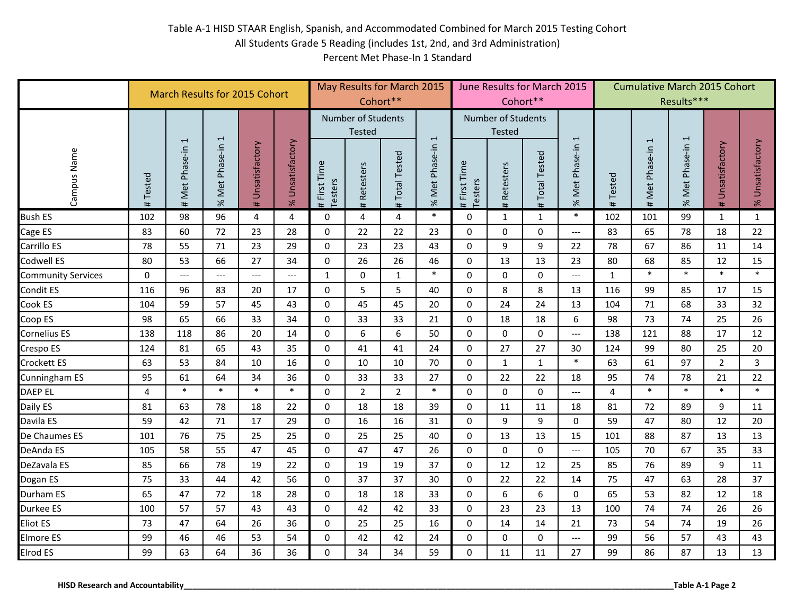|                                         |                | <b>March Results for 2015 Cohort</b> |                     |                     |                        |                                |                                     | May Results for March 2015<br>Cohort** |                |                                | Cohort**                            | June Results for March 2015 |                           |                | <b>Cumulative March 2015 Cohort</b> | Results***       |                     |                        |
|-----------------------------------------|----------------|--------------------------------------|---------------------|---------------------|------------------------|--------------------------------|-------------------------------------|----------------------------------------|----------------|--------------------------------|-------------------------------------|-----------------------------|---------------------------|----------------|-------------------------------------|------------------|---------------------|------------------------|
|                                         |                | $\overline{\phantom{0}}$             | $\overline{ }$      |                     |                        |                                | <b>Number of Students</b><br>Tested |                                        | $\overline{1}$ |                                | Number of Students<br><b>Tested</b> |                             | $\mathbf{r}$              |                | 1                                   |                  |                     |                        |
| Campus Name                             | Tested<br>#    | Met Phase-in<br>#                    | % Met Phase-in      | Unsatisfactory<br># | Unsatisfactory<br>$\%$ | First Time<br>Testers<br>$\pm$ | Retesters<br>#                      | <b>Total Tested</b><br>#               | % Met Phase-in | First Time<br>Testers<br>$\pm$ | Retesters<br>#                      | <b>Total Tested</b><br>#    | Phase-in<br>Met I<br>$\%$ | Tested<br>#    | Met Phase-in<br>#                   | % Met Phase-in 1 | Unsatisfactory<br># | Unsatisfactory<br>$\%$ |
| <b>Bush ES</b>                          | 102            | 98                                   | 96                  | 4                   | 4                      | 0                              | 4                                   | 4                                      | $\ast$         | 0                              | $\mathbf{1}$                        | $1\,$                       | $\ast$                    | 102            | 101                                 | 99               | $\mathbf{1}$        | $\mathbf{1}$           |
| Cage ES                                 | 83             | 60                                   | 72                  | 23                  | 28                     | 0                              | 22                                  | 22                                     | 23             | 0                              | $\mathbf 0$                         | $\mathbf 0$                 | $\qquad \qquad - -$       | 83             | 65                                  | 78               | 18                  | 22                     |
| Carrillo ES                             | 78             | 55                                   | 71                  | 23                  | 29                     | $\mathbf 0$                    | 23                                  | 23                                     | 43             | $\mathbf 0$                    | 9                                   | 9                           | 22                        | 78             | 67                                  | 86               | 11                  | 14                     |
| Codwell ES                              | 80             | 53                                   | 66                  | 27                  | 34                     | $\mathbf 0$                    | 26                                  | 26                                     | 46             | $\pmb{0}$                      | 13                                  | 13                          | 23                        | 80             | 68                                  | 85               | 12                  | 15                     |
| Community Services                      | $\mathbf 0$    | $\overline{a}$                       | $\qquad \qquad - -$ | $---$               | ---                    | $\mathbf{1}$                   | $\Omega$                            | $\mathbf{1}$                           | $\ast$         | $\Omega$                       | $\mathbf 0$                         | $\Omega$                    | $\qquad \qquad - -$       | $\mathbf{1}$   | $\ast$                              | $\ast$           | $\ast$              | $\ast$                 |
| Condit ES                               | 116            | 96                                   | 83                  | 20                  | 17                     | 0                              | 5                                   | 5                                      | 40             | $\mathbf 0$                    | 8                                   | 8                           | 13                        | 116            | 99                                  | 85               | 17                  | 15                     |
| Cook ES                                 | 104            | 59                                   | 57                  | 45                  | 43                     | $\mathbf 0$                    | 45                                  | 45                                     | 20             | $\mathbf 0$                    | 24                                  | 24                          | 13                        | 104            | 71                                  | 68               | 33                  | 32                     |
| Coop ES                                 | 98             | 65                                   | 66                  | 33                  | 34                     | $\mathbf{0}$                   | 33                                  | 33                                     | 21             | $\mathbf 0$                    | 18                                  | 18                          | 6                         | 98             | 73                                  | 74               | 25                  | 26                     |
| Cornelius ES                            | 138            | 118                                  | 86                  | 20                  | 14                     | $\mathbf 0$                    | 6                                   | 6                                      | 50             | $\mathbf 0$                    | $\mathbf 0$                         | $\mathbf 0$                 | $\qquad \qquad - -$       | 138            | 121                                 | 88               | 17                  | 12                     |
| Crespo ES                               | 124            | 81                                   | 65                  | 43                  | 35                     | $\mathbf 0$                    | 41                                  | 41                                     | 24             | $\mathbf 0$                    | 27                                  | 27                          | 30                        | 124            | 99                                  | 80               | 25                  | 20                     |
| Crockett ES                             | 63             | 53                                   | 84                  | 10                  | 16                     | $\mathbf 0$                    | 10                                  | 10                                     | 70             | $\mathbf 0$                    | $\mathbf{1}$                        | $\mathbf{1}$                | $\ast$                    | 63             | 61                                  | 97               | $\overline{2}$      | $\mathbf{3}$           |
| Cunningham ES                           | 95             | 61                                   | 64                  | 34                  | 36                     | $\mathbf 0$                    | 33                                  | 33                                     | 27             | $\mathbf 0$                    | 22                                  | 22                          | 18                        | 95             | 74                                  | 78               | 21                  | 22                     |
| DAEP EL                                 | $\overline{4}$ | $\ast$                               | $\ast$              | $\ast$              | $\ast$                 | $\mathbf 0$                    | $\overline{2}$                      | $\overline{2}$                         | $\ast$         | $\mathbf 0$                    | $\mathbf 0$                         | $\mathbf 0$                 | $\qquad \qquad - -$       | $\overline{4}$ | $\ast$                              | $\ast$           | $\ast$              | $\ast$                 |
| Daily ES                                | 81             | 63                                   | 78                  | 18                  | 22                     | $\Omega$                       | 18                                  | 18                                     | 39             | $\mathbf 0$                    | 11                                  | 11                          | 18                        | 81             | 72                                  | 89               | 9                   | 11                     |
| Davila ES                               | 59             | 42                                   | 71                  | 17                  | 29                     | $\mathbf 0$                    | 16                                  | 16                                     | 31             | $\mathbf 0$                    | 9                                   | 9                           | $\mathbf 0$               | 59             | 47                                  | 80               | 12                  | 20                     |
| De Chaumes ES                           | 101            | 76                                   | 75                  | 25                  | 25                     | $\mathbf 0$                    | 25                                  | 25                                     | 40             | $\mathbf 0$                    | 13                                  | 13                          | 15                        | 101            | 88                                  | 87               | 13                  | 13                     |
| DeAnda ES                               | 105            | 58                                   | 55                  | 47                  | 45                     | 0                              | 47                                  | 47                                     | 26             | $\mathbf 0$                    | $\pmb{0}$                           | 0                           | $---$                     | 105            | 70                                  | 67               | 35                  | 33                     |
| DeZavala ES                             | 85             | 66                                   | 78                  | 19                  | 22                     | $\Omega$                       | 19                                  | 19                                     | 37             | $\mathbf 0$                    | 12                                  | 12                          | 25                        | 85             | 76                                  | 89               | 9                   | 11                     |
| Dogan ES                                | 75             | 33                                   | 44                  | 42                  | 56                     | $\mathbf 0$                    | 37                                  | 37                                     | 30             | $\mathbf 0$                    | 22                                  | 22                          | 14                        | 75             | 47                                  | 63               | 28                  | 37                     |
| Durham ES                               | 65             | 47                                   | 72                  | 18                  | 28                     | $\mathbf 0$                    | 18                                  | 18                                     | 33             | $\mathbf 0$                    | 6                                   | $\boldsymbol{6}$            | $\mathbf 0$               | 65             | 53                                  | 82               | 12                  | 18                     |
| Durkee ES                               | 100            | 57                                   | 57                  | 43                  | 43                     | 0                              | 42                                  | 42                                     | 33             | $\mathbf 0$                    | 23                                  | 23                          | 13                        | 100            | 74                                  | 74               | 26                  | 26                     |
| Eliot ES                                | 73             | 47                                   | 64                  | 26                  | 36                     | $\mathbf 0$                    | 25                                  | 25                                     | 16             | $\mathbf 0$                    | 14                                  | 14                          | 21                        | 73             | 54                                  | 74               | 19                  | 26                     |
| Elmore ES                               | 99             | 46                                   | 46                  | 53                  | 54                     | $\pmb{0}$                      | 42                                  | 42                                     | 24             | $\mathbf 0$                    | $\pmb{0}$                           | $\pmb{0}$                   | $---$                     | 99             | 56                                  | 57               | 43                  | 43                     |
| Elrod ES                                | 99             | 63                                   | 64                  | 36                  | 36                     | 0                              | 34                                  | 34                                     | 59             | $\mathbf 0$                    | 11                                  | 11                          | 27                        | 99             | 86                                  | 87               | 13                  | 13                     |
| <b>HISD Research and Accountability</b> |                |                                      |                     |                     |                        |                                |                                     |                                        |                |                                |                                     |                             |                           |                |                                     |                  | Table A-1 Page 2    |                        |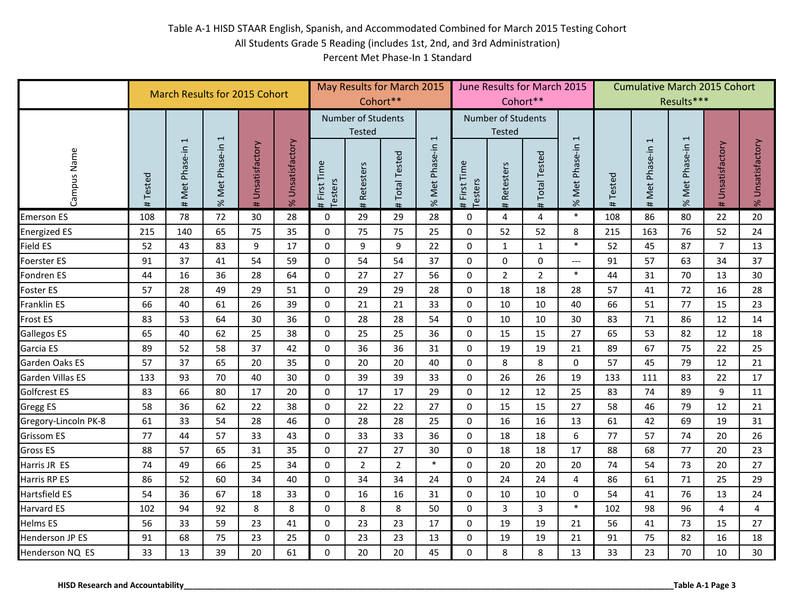|                                         |             | <b>March Results for 2015 Cohort</b> |                |                     |                        |                                |                                            | May Results for March 2015<br>Cohort** |                |                                |                                     | June Results for March 2015<br>Cohort** |                      |             | <b>Cumulative March 2015 Cohort</b> | Results***       |                     |                        |
|-----------------------------------------|-------------|--------------------------------------|----------------|---------------------|------------------------|--------------------------------|--------------------------------------------|----------------------------------------|----------------|--------------------------------|-------------------------------------|-----------------------------------------|----------------------|-------------|-------------------------------------|------------------|---------------------|------------------------|
|                                         |             | $\overline{\phantom{0}}$             | $\overline{ }$ |                     |                        |                                | <b>Number of Students</b><br><b>Tested</b> |                                        | $\overline{1}$ |                                | Number of Students<br><b>Tested</b> |                                         | $\mathbf{r}$         |             | 1                                   |                  |                     |                        |
| Campus Name                             | Tested<br># | Met Phase-in<br>#                    | % Met Phase-in | Unsatisfactory<br># | Unsatisfactory<br>$\%$ | First Time<br>Testers<br>$\pm$ | Retesters<br>#                             | <b>Total Tested</b><br>#               | % Met Phase-in | First Time<br>Testers<br>$\pm$ | Retesters<br>#                      | <b>Total Tested</b><br>#                | Met Phase-in<br>$\%$ | Tested<br># | Met Phase-in<br>#                   | % Met Phase-in 1 | Unsatisfactory<br># | Unsatisfactory<br>$\%$ |
| <b>Emerson ES</b>                       | 108         | 78                                   | 72             | 30                  | 28                     | 0                              | 29                                         | 29                                     | 28             | $\mathbf 0$                    | 4                                   | 4                                       | $\ast$               | 108         | 86                                  | 80               | 22                  | 20                     |
| <b>Energized ES</b>                     | 215         | 140                                  | 65             | 75                  | 35                     | $\Omega$                       | 75                                         | 75                                     | 25             | $\mathbf 0$                    | 52                                  | 52                                      | 8                    | 215         | 163                                 | 76               | 52                  | 24                     |
| Field ES                                | 52          | 43                                   | 83             | 9                   | 17                     | $\mathbf 0$                    | 9                                          | 9                                      | 22             | $\mathbf 0$                    | $\mathbf{1}$                        | $1\,$                                   | $\ast$               | 52          | 45                                  | 87               | $\overline{7}$      | 13                     |
| Foerster ES                             | 91          | 37                                   | 41             | 54                  | 59                     | $\mathbf 0$                    | 54                                         | 54                                     | 37             | $\mathbf 0$                    | $\pmb{0}$                           | $\mathbf 0$                             | $\qquad \qquad - -$  | 91          | 57                                  | 63               | 34                  | 37                     |
| Fondren ES                              | 44          | 16                                   | 36             | 28                  | 64                     | $\mathbf{0}$                   | 27                                         | 27                                     | 56             | $\mathbf 0$                    | $\overline{2}$                      | $\overline{2}$                          | $\ast$               | 44          | 31                                  | 70               | 13                  | 30                     |
| Foster ES                               | 57          | 28                                   | 49             | 29                  | 51                     | 0                              | 29                                         | 29                                     | 28             | $\mathbf 0$                    | 18                                  | 18                                      | 28                   | 57          | 41                                  | 72               | 16                  | 28                     |
| Franklin ES                             | 66          | 40                                   | 61             | 26                  | 39                     | $\mathbf 0$                    | 21                                         | 21                                     | 33             | $\mathbf 0$                    | 10                                  | 10                                      | 40                   | 66          | 51                                  | 77               | 15                  | 23                     |
| Frost ES                                | 83          | 53                                   | 64             | 30                  | 36                     | $\mathbf{0}$                   | 28                                         | 28                                     | 54             | $\mathbf 0$                    | 10                                  | 10                                      | 30                   | 83          | 71                                  | 86               | 12                  | 14                     |
| Gallegos ES                             | 65          | 40                                   | 62             | 25                  | 38                     | $\mathbf{0}$                   | 25                                         | 25                                     | 36             | $\mathbf 0$                    | 15                                  | 15                                      | 27                   | 65          | 53                                  | 82               | 12                  | 18                     |
| Garcia ES                               | 89          | 52                                   | 58             | 37                  | 42                     | 0                              | 36                                         | 36                                     | 31             | $\mathbf 0$                    | 19                                  | 19                                      | 21                   | 89          | 67                                  | 75               | 22                  | 25                     |
| Garden Oaks ES                          | 57          | 37                                   | 65             | 20                  | 35                     | $\mathbf 0$                    | 20                                         | 20                                     | 40             | $\mathbf 0$                    | 8                                   | 8                                       | $\Omega$             | 57          | 45                                  | 79               | 12                  | 21                     |
| Garden Villas ES                        | 133         | 93                                   | 70             | 40                  | 30                     | $\mathbf 0$                    | 39                                         | 39                                     | 33             | $\mathbf 0$                    | 26                                  | 26                                      | 19                   | 133         | 111                                 | 83               | 22                  | 17                     |
| Golfcrest ES                            | 83          | 66                                   | 80             | 17                  | 20                     | 0                              | 17                                         | 17                                     | 29             | $\mathbf 0$                    | 12                                  | 12                                      | 25                   | 83          | 74                                  | 89               | 9                   | 11                     |
| Gregg ES                                | 58          | 36                                   | 62             | 22                  | 38                     | $\Omega$                       | 22                                         | 22                                     | 27             | $\mathbf 0$                    | 15                                  | 15                                      | 27                   | 58          | 46                                  | 79               | 12                  | 21                     |
| Gregory-Lincoln PK-8                    | 61          | 33                                   | 54             | 28                  | 46                     | $\mathbf 0$                    | 28                                         | 28                                     | 25             | $\mathbf 0$                    | 16                                  | 16                                      | 13                   | 61          | 42                                  | 69               | 19                  | 31                     |
| Grissom ES                              | 77          | 44                                   | 57             | 33                  | 43                     | $\mathbf 0$                    | 33                                         | 33                                     | 36             | $\mathbf 0$                    | 18                                  | 18                                      | 6                    | 77          | 57                                  | 74               | 20                  | 26                     |
| Gross ES                                | 88          | 57                                   | 65             | 31                  | 35                     | $\mathbf 0$                    | 27                                         | 27                                     | 30             | $\mathbf 0$                    | 18                                  | 18                                      | 17                   | 88          | 68                                  | 77               | 20                  | 23                     |
| Harris JR ES                            | 74          | 49                                   | 66             | 25                  | 34                     | 0                              | $\overline{2}$                             | $\overline{2}$                         | $\ast$         | $\mathbf 0$                    | 20                                  | 20                                      | 20                   | 74          | 54                                  | 73               | 20                  | 27                     |
| Harris RP ES                            | 86          | 52                                   | 60             | 34                  | 40                     | $\mathbf 0$                    | 34                                         | 34                                     | 24             | $\mathbf 0$                    | 24                                  | 24                                      | 4                    | 86          | 61                                  | 71               | 25                  | 29                     |
| Hartsfield ES                           | 54          | 36                                   | 67             | 18                  | 33                     | $\mathbf 0$                    | 16                                         | 16                                     | 31             | $\mathbf 0$                    | 10                                  | 10                                      | $\mathbf 0$          | 54          | 41                                  | 76               | 13                  | 24                     |
| Harvard ES                              | 102         | 94                                   | 92             | 8                   | 8                      | $\mathbf 0$                    | 8                                          | 8                                      | 50             | $\mathbf 0$                    | 3                                   | 3                                       | $\ast$               | 102         | 98                                  | 96               | 4                   | 4                      |
| Helms ES                                | 56          | 33                                   | 59             | 23                  | 41                     | $\mathbf 0$                    | 23                                         | 23                                     | 17             | $\mathbf 0$                    | 19                                  | 19                                      | 21                   | 56          | 41                                  | 73               | 15                  | 27                     |
| Henderson JP ES                         | 91          | 68                                   | 75             | 23                  | 25                     | $\pmb{0}$                      | 23                                         | 23                                     | 13             | $\mathbf 0$                    | 19                                  | 19                                      | 21                   | 91          | 75                                  | 82               | 16                  | 18                     |
| Henderson NQ ES                         | 33          | 13                                   | 39             | 20                  | 61                     | 0                              | 20                                         | 20                                     | 45             | $\mathbf 0$                    | 8                                   | 8                                       | 13                   | 33          | 23                                  | 70               | 10                  | 30                     |
| <b>HISD Research and Accountability</b> |             |                                      |                |                     |                        |                                |                                            |                                        |                |                                |                                     |                                         |                      |             |                                     |                  | Table A-1 Page 3    |                        |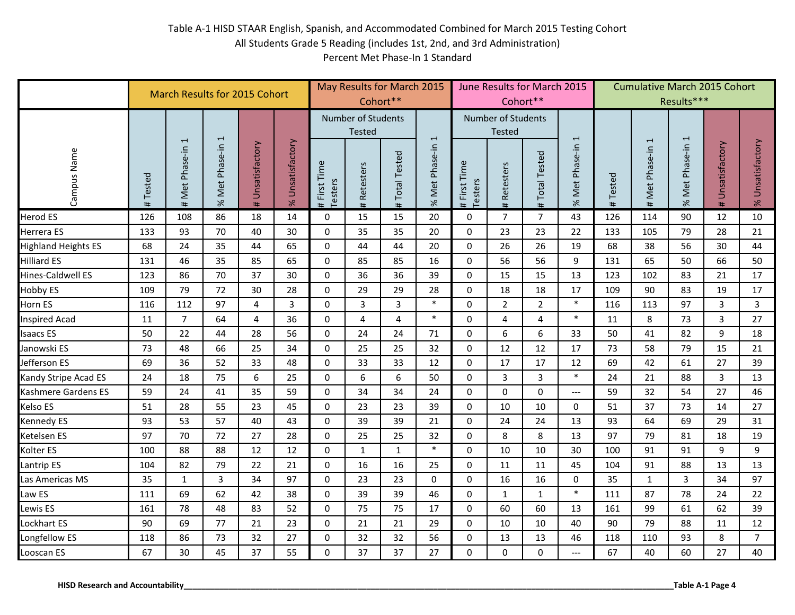|                                         |             | <b>March Results for 2015 Cohort</b> |                          |                     |                         |                                |                                     | May Results for March 2015<br>Cohort** |                |                         |                                            | June Results for March 2015<br>Cohort** |                      |             | <b>Cumulative March 2015 Cohort</b> | Results***       |                     |                        |
|-----------------------------------------|-------------|--------------------------------------|--------------------------|---------------------|-------------------------|--------------------------------|-------------------------------------|----------------------------------------|----------------|-------------------------|--------------------------------------------|-----------------------------------------|----------------------|-------------|-------------------------------------|------------------|---------------------|------------------------|
|                                         |             | $\overline{1}$                       | $\overline{\phantom{0}}$ |                     |                         |                                | <b>Number of Students</b><br>Tested |                                        | $\overline{1}$ |                         | <b>Number of Students</b><br><b>Tested</b> |                                         | $\overline{ }$       |             | $\overline{\phantom{0}}$            |                  |                     |                        |
| Campus Name                             | Tested<br># | Met Phase-in<br>#                    | % Met Phase-in           | Unsatisfactory<br># | Unsatisfactory<br>$\%$  | First Time<br>Testers<br>$\pm$ | Retesters<br>#                      | <b>Total Tested</b><br>#               | % Met Phase-in | # First Time<br>Testers | Retesters<br>#                             | <b>Total Tested</b><br>$\pm$            | Met Phase-in<br>$\%$ | Tested<br># | Met Phase-in<br>#                   | % Met Phase-in 1 | Unsatisfactory<br># | Unsatisfactory<br>$\%$ |
| Herod ES                                | 126         | 108                                  | 86                       | 18                  | 14                      | $\mathbf 0$                    | 15                                  | 15                                     | 20             | $\mathbf 0$             | $\overline{7}$                             | 7                                       | 43                   | 126         | 114                                 | 90               | 12                  | 10                     |
| Herrera ES                              | 133         | 93                                   | 70                       | 40                  | 30                      | $\Omega$                       | 35                                  | 35                                     | 20             | $\mathbf 0$             | 23                                         | 23                                      | 22                   | 133         | 105                                 | 79               | 28                  | 21                     |
| <b>Highland Heights ES</b>              | 68          | 24                                   | 35                       | 44                  | 65                      | $\mathbf 0$                    | 44                                  | 44                                     | 20             | $\mathbf 0$             | 26                                         | 26                                      | 19                   | 68          | 38                                  | 56               | 30                  | 44                     |
| Hilliard ES                             | 131         | 46                                   | 35                       | 85                  | 65                      | $\mathbf 0$                    | 85                                  | 85                                     | 16             | $\mathbf 0$             | 56                                         | 56                                      | 9                    | 131         | 65                                  | 50               | 66                  | 50                     |
| Hines-Caldwell ES                       | 123         | 86                                   | 70                       | 37                  | 30                      | $\mathbf 0$                    | 36                                  | 36                                     | 39             | $\mathbf 0$             | 15                                         | 15                                      | 13                   | 123         | 102                                 | 83               | 21                  | 17                     |
| Hobby ES                                | 109         | 79                                   | 72                       | 30                  | 28                      | $\mathbf 0$                    | 29                                  | 29                                     | 28             | $\mathbf 0$             | 18                                         | 18                                      | 17                   | 109         | 90                                  | 83               | 19                  | 17                     |
| Horn ES                                 | 116         | 112                                  | 97                       | 4                   | $\overline{\mathbf{3}}$ | $\mathbf 0$                    | 3                                   | $\overline{3}$                         | $\ast$         | $\mathbf 0$             | $\overline{2}$                             | $\overline{2}$                          | $\ast$               | 116         | 113                                 | 97               | 3                   | 3                      |
| <b>Inspired Acad</b>                    | 11          | $\overline{7}$                       | 64                       | 4                   | 36                      | $\mathbf{0}$                   | $\overline{4}$                      | $\overline{4}$                         | $\ast$         | $\mathbf 0$             | 4                                          | 4                                       | $\ast$               | 11          | $\bf 8$                             | 73               | $\overline{3}$      | 27                     |
| <b>Isaacs ES</b>                        | 50          | 22                                   | 44                       | 28                  | 56                      | $\mathbf 0$                    | 24                                  | 24                                     | 71             | $\mathbf 0$             | 6                                          | 6                                       | 33                   | 50          | 41                                  | 82               | 9                   | 18                     |
| Janowski ES                             | 73          | 48                                   | 66                       | 25                  | 34                      | $\mathbf 0$                    | 25                                  | 25                                     | 32             | $\mathbf 0$             | 12                                         | 12                                      | 17                   | 73          | 58                                  | 79               | 15                  | 21                     |
| Jefferson ES                            | 69          | 36                                   | 52                       | 33                  | 48                      | $\mathbf 0$                    | 33                                  | 33                                     | 12             | $\mathbf 0$             | 17                                         | 17                                      | 12                   | 69          | 42                                  | 61               | 27                  | 39                     |
| Kandy Stripe Acad ES                    | 24          | 18                                   | 75                       | 6                   | 25                      | $\mathbf 0$                    | 6                                   | 6                                      | 50             | $\mathbf 0$             | 3                                          | 3                                       | $\ast$               | 24          | 21                                  | 88               | 3                   | 13                     |
| Kashmere Gardens ES                     | 59          | 24                                   | 41                       | 35                  | 59                      | $\mathbf 0$                    | 34                                  | 34                                     | 24             | $\mathbf 0$             | 0                                          | $\mathbf 0$                             | $\qquad \qquad - -$  | 59          | 32                                  | 54               | 27                  | 46                     |
| Kelso ES                                | 51          | 28                                   | 55                       | 23                  | 45                      | $\Omega$                       | 23                                  | 23                                     | 39             | $\mathbf 0$             | 10                                         | 10                                      | $\mathbf 0$          | 51          | 37                                  | 73               | 14                  | 27                     |
| Kennedy ES                              | 93          | 53                                   | 57                       | 40                  | 43                      | $\mathbf 0$                    | 39                                  | 39                                     | 21             | $\mathbf 0$             | 24                                         | 24                                      | 13                   | 93          | 64                                  | 69               | 29                  | 31                     |
| Ketelsen ES                             | 97          | 70                                   | 72                       | 27                  | 28                      | $\mathbf 0$                    | 25                                  | 25                                     | 32             | $\mathbf 0$             | 8                                          | 8                                       | 13                   | 97          | 79                                  | 81               | 18                  | 19                     |
| Kolter ES                               | 100         | 88                                   | 88                       | 12                  | 12                      | $\mathbf 0$                    | $\mathbf{1}$                        | $\mathbf{1}$                           | $\ast$         | $\mathbf 0$             | 10                                         | 10                                      | 30                   | 100         | 91                                  | 91               | 9                   | 9                      |
| Lantrip ES                              | 104         | 82                                   | 79                       | 22                  | 21                      | $\mathbf 0$                    | 16                                  | 16                                     | 25             | $\mathbf 0$             | 11                                         | 11                                      | 45                   | 104         | 91                                  | 88               | 13                  | 13                     |
| Las Americas MS                         | 35          | $\mathbf{1}$                         | $\overline{3}$           | 34                  | 97                      | $\mathbf 0$                    | 23                                  | 23                                     | 0              | $\mathbf 0$             | 16                                         | 16                                      | 0                    | 35          | $\mathbf{1}$                        | $\overline{3}$   | 34                  | 97                     |
| Law ES                                  | 111         | 69                                   | 62                       | 42                  | 38                      | $\mathbf 0$                    | 39                                  | 39                                     | 46             | $\pmb{0}$               | $\mathbf{1}$                               | $\mathbf{1}$                            | $\ast$               | 111         | 87                                  | 78               | 24                  | 22                     |
| Lewis ES                                | 161         | 78                                   | 48                       | 83                  | 52                      | $\mathbf 0$                    | 75                                  | 75                                     | 17             | $\mathbf 0$             | 60                                         | 60                                      | 13                   | 161         | 99                                  | 61               | 62                  | 39                     |
| Lockhart ES                             | 90          | 69                                   | 77                       | 21                  | 23                      | $\mathbf 0$                    | 21                                  | 21                                     | 29             | $\mathbf 0$             | 10                                         | 10                                      | 40                   | 90          | 79                                  | 88               | 11                  | 12                     |
| Longfellow ES                           | 118         | 86                                   | 73                       | 32                  | 27                      | $\pmb{0}$                      | 32                                  | 32                                     | 56             | $\pmb{0}$               | 13                                         | 13                                      | 46                   | 118         | 110                                 | 93               | 8                   | $\overline{7}$         |
| Looscan ES                              | 67          | 30                                   | 45                       | 37                  | 55                      | 0                              | 37                                  | 37                                     | 27             | $\mathbf 0$             | $\pmb{0}$                                  | $\mathbf 0$                             | $\hspace{0.05cm}---$ | 67          | 40                                  | 60               | 27                  | 40                     |
| <b>HISD Research and Accountability</b> |             |                                      |                          |                     |                         |                                |                                     |                                        |                |                         |                                            |                                         |                      |             |                                     |                  | Table A-1 Page 4    |                        |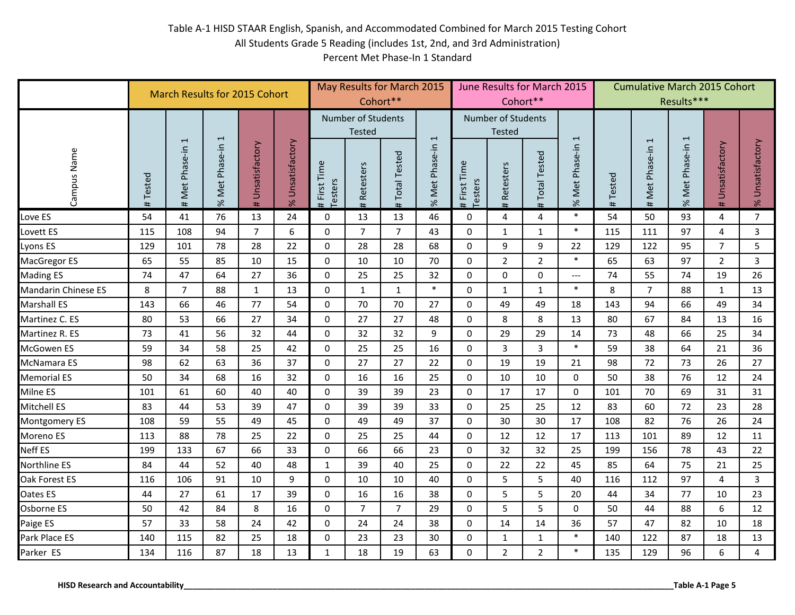|                                         |             | <b>March Results for 2015 Cohort</b> |                |                     |                        |                                |                                            | May Results for March 2015<br>Cohort** |                          |                                | Cohort**                            | June Results for March 2015 |                           |             | <b>Cumulative March 2015 Cohort</b> | Results***       |                     |                        |
|-----------------------------------------|-------------|--------------------------------------|----------------|---------------------|------------------------|--------------------------------|--------------------------------------------|----------------------------------------|--------------------------|--------------------------------|-------------------------------------|-----------------------------|---------------------------|-------------|-------------------------------------|------------------|---------------------|------------------------|
|                                         |             | $\overline{\phantom{0}}$             | $\overline{ }$ |                     |                        |                                | <b>Number of Students</b><br><b>Tested</b> |                                        | $\overline{1}$           |                                | Number of Students<br><b>Tested</b> |                             | $\overline{ }$            |             | 1                                   |                  |                     |                        |
| Campus Name                             | Tested<br># | Met Phase-in<br>#                    | % Met Phase-in | Unsatisfactory<br># | Unsatisfactory<br>$\%$ | First Time<br>Testers<br>$\pm$ | Retesters<br>#                             | <b>Total Tested</b><br>#               | Met Phase-in<br>$\aleph$ | First Time<br>Testers<br>$\pm$ | <b>Retesters</b><br>#               | <b>Total Tested</b><br>#    | Phase-in<br>Met I<br>$\%$ | Tested<br># | Met Phase-in<br>#                   | % Met Phase-in 1 | Unsatisfactory<br># | Unsatisfactory<br>$\%$ |
| Love ES                                 | 54          | 41                                   | 76             | 13                  | 24                     | 0                              | 13                                         | 13                                     | 46                       | 0                              | 4                                   | 4                           | $\ast$                    | 54          | 50                                  | 93               | 4                   | $\overline{7}$         |
| Lovett ES                               | 115         | 108                                  | 94             | $\overline{7}$      | 6                      | $\Omega$                       | $\overline{7}$                             | $\overline{7}$                         | 43                       | $\mathbf 0$                    | $\mathbf{1}$                        | $\mathbf{1}$                | $\ast$                    | 115         | 111                                 | 97               | 4                   | $\mathbf{3}$           |
| Lyons ES                                | 129         | 101                                  | 78             | 28                  | 22                     | $\mathbf 0$                    | 28                                         | 28                                     | 68                       | $\mathbf 0$                    | 9                                   | 9                           | 22                        | 129         | 122                                 | 95               | $\overline{7}$      | 5                      |
| MacGregor ES                            | 65          | 55                                   | 85             | 10                  | 15                     | $\mathbf 0$                    | 10                                         | 10                                     | 70                       | $\pmb{0}$                      | $\overline{2}$                      | $\overline{2}$              | $\ast$                    | 65          | 63                                  | 97               | $\overline{2}$      | $\overline{3}$         |
| Mading ES                               | 74          | 47                                   | 64             | 27                  | 36                     | $\mathbf 0$                    | 25                                         | 25                                     | 32                       | $\mathbf 0$                    | $\mathbf 0$                         | $\Omega$                    | $\qquad \qquad - -$       | 74          | 55                                  | 74               | 19                  | 26                     |
| Mandarin Chinese ES                     | 8           | $\overline{7}$                       | 88             | $\mathbf{1}$        | 13                     | 0                              | $\mathbf{1}$                               | $\mathbf{1}$                           | $\ast$                   | $\mathbf 0$                    | $\mathbf{1}$                        | $\mathbf{1}$                | $\ast$                    | 8           | $\overline{7}$                      | 88               | $\mathbf{1}$        | 13                     |
| Marshall ES                             | 143         | 66                                   | 46             | 77                  | 54                     | $\mathbf 0$                    | 70                                         | 70                                     | 27                       | $\mathbf 0$                    | 49                                  | 49                          | 18                        | 143         | 94                                  | 66               | 49                  | 34                     |
| Martinez C. ES                          | 80          | 53                                   | 66             | 27                  | 34                     | $\mathbf{0}$                   | 27                                         | 27                                     | 48                       | $\mathbf 0$                    | 8                                   | 8                           | 13                        | 80          | 67                                  | 84               | 13                  | 16                     |
| Martinez R. ES                          | 73          | 41                                   | 56             | 32                  | 44                     | $\mathbf 0$                    | 32                                         | 32                                     | 9                        | $\mathbf 0$                    | 29                                  | 29                          | 14                        | 73          | 48                                  | 66               | 25                  | 34                     |
| McGowen ES                              | 59          | 34                                   | 58             | 25                  | 42                     | 0                              | 25                                         | 25                                     | 16                       | $\mathbf 0$                    | $\overline{3}$                      | 3                           | $\ast$                    | 59          | 38                                  | 64               | 21                  | 36                     |
| McNamara ES                             | 98          | 62                                   | 63             | 36                  | 37                     | $\mathbf 0$                    | 27                                         | 27                                     | 22                       | $\mathbf 0$                    | 19                                  | 19                          | 21                        | 98          | 72                                  | 73               | 26                  | 27                     |
| Memorial ES                             | 50          | 34                                   | 68             | 16                  | 32                     | $\mathbf 0$                    | 16                                         | 16                                     | 25                       | $\mathbf 0$                    | 10                                  | 10                          | $\mathbf 0$               | 50          | 38                                  | 76               | 12                  | 24                     |
| Milne ES                                | 101         | 61                                   | 60             | 40                  | 40                     | $\mathbf 0$                    | 39                                         | 39                                     | 23                       | $\mathbf 0$                    | 17                                  | 17                          | $\mathbf 0$               | 101         | 70                                  | 69               | 31                  | 31                     |
| Mitchell ES                             | 83          | 44                                   | 53             | 39                  | 47                     | $\Omega$                       | 39                                         | 39                                     | 33                       | $\mathbf 0$                    | 25                                  | 25                          | 12                        | 83          | 60                                  | 72               | 23                  | 28                     |
| Montgomery ES                           | 108         | 59                                   | 55             | 49                  | 45                     | $\mathbf 0$                    | 49                                         | 49                                     | 37                       | $\mathbf 0$                    | 30                                  | 30                          | 17                        | 108         | 82                                  | 76               | 26                  | 24                     |
| Moreno ES                               | 113         | 88                                   | 78             | 25                  | 22                     | $\mathbf 0$                    | 25                                         | 25                                     | 44                       | $\mathbf 0$                    | 12                                  | 12                          | 17                        | 113         | 101                                 | 89               | 12                  | 11                     |
| Neff ES                                 | 199         | 133                                  | 67             | 66                  | 33                     | 0                              | 66                                         | 66                                     | 23                       | $\mathbf 0$                    | 32                                  | 32                          | 25                        | 199         | 156                                 | 78               | 43                  | 22                     |
| Northline ES                            | 84          | 44                                   | 52             | 40                  | 48                     | $\mathbf{1}$                   | 39                                         | 40                                     | 25                       | $\mathbf 0$                    | 22                                  | 22                          | 45                        | 85          | 64                                  | 75               | 21                  | 25                     |
| Oak Forest ES                           | 116         | 106                                  | 91             | 10                  | 9                      | $\mathbf 0$                    | 10                                         | 10                                     | 40                       | $\mathbf 0$                    | 5                                   | 5                           | 40                        | 116         | 112                                 | 97               | 4                   | $\mathbf{3}$           |
| Oates ES                                | 44          | 27                                   | 61             | 17                  | 39                     | $\mathbf 0$                    | 16                                         | 16                                     | 38                       | $\mathbf 0$                    | 5                                   | 5                           | 20                        | 44          | 34                                  | 77               | 10                  | 23                     |
| Osborne ES                              | 50          | 42                                   | 84             | 8                   | 16                     | 0                              | $\overline{7}$                             | $\overline{7}$                         | 29                       | $\mathbf 0$                    | 5                                   | 5                           | $\Omega$                  | 50          | 44                                  | 88               | 6                   | 12                     |
| Paige ES                                | 57          | 33                                   | 58             | 24                  | 42                     | $\mathbf 0$                    | 24                                         | 24                                     | 38                       | $\mathbf 0$                    | 14                                  | 14                          | 36                        | 57          | 47                                  | 82               | 10                  | 18                     |
| Park Place ES                           | 140         | 115                                  | 82             | 25                  | 18                     | $\pmb{0}$                      | 23                                         | 23                                     | 30                       | $\mathbf 0$                    | $\mathbf{1}$                        | 1                           | $\ast$                    | 140         | 122                                 | 87               | 18                  | 13                     |
| Parker ES                               | 134         | 116                                  | 87             | 18                  | 13                     | $\mathbf 1$                    | 18                                         | 19                                     | 63                       | $\mathbf 0$                    | $\overline{2}$                      | $\overline{2}$              | $\ast$                    | 135         | 129                                 | 96               | 6                   | 4                      |
| <b>HISD Research and Accountability</b> |             |                                      |                |                     |                        |                                |                                            |                                        |                          |                                |                                     |                             |                           |             |                                     |                  | Table A-1 Page 5    |                        |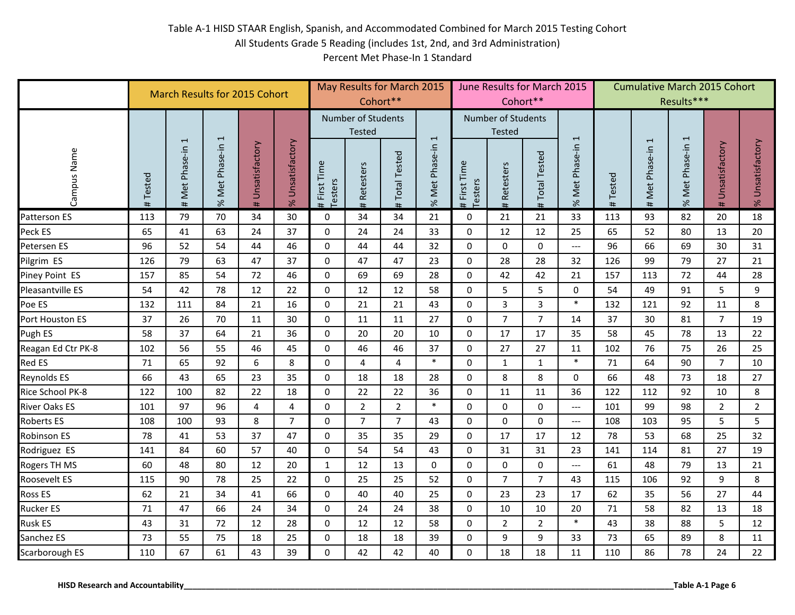|                                         |             | <b>March Results for 2015 Cohort</b> |                |                     |                        |                                |                                            | May Results for March 2015<br>Cohort** |                |                                | Cohort**                            | June Results for March 2015 |                               |             | <b>Cumulative March 2015 Cohort</b> | Results***       |                     |                        |
|-----------------------------------------|-------------|--------------------------------------|----------------|---------------------|------------------------|--------------------------------|--------------------------------------------|----------------------------------------|----------------|--------------------------------|-------------------------------------|-----------------------------|-------------------------------|-------------|-------------------------------------|------------------|---------------------|------------------------|
|                                         |             | $\overline{\phantom{0}}$             | $\overline{ }$ |                     |                        |                                | <b>Number of Students</b><br><b>Tested</b> |                                        | $\overline{1}$ |                                | Number of Students<br><b>Tested</b> |                             | $\overline{ }$                |             | 1                                   |                  |                     |                        |
| Campus Name                             | Tested<br># | Met Phase-in<br>#                    | % Met Phase-in | Unsatisfactory<br># | Unsatisfactory<br>$\%$ | First Time<br>Testers<br>$\pm$ | Retesters<br>#                             | <b>Total Tested</b><br>#               | % Met Phase-in | First Time<br>Testers<br>$\pm$ | Retesters<br>#                      | <b>Total Tested</b><br>#    | Phase-in<br>Met I<br>$\aleph$ | Tested<br># | Met Phase-in<br>#                   | % Met Phase-in 1 | Unsatisfactory<br># | Unsatisfactory<br>$\%$ |
| Patterson ES                            | 113         | 79                                   | 70             | 34                  | 30                     | 0                              | 34                                         | 34                                     | 21             | $\mathbf 0$                    | 21                                  | 21                          | 33                            | 113         | 93                                  | 82               | 20                  | 18                     |
| Peck ES                                 | 65          | 41                                   | 63             | 24                  | 37                     | $\mathbf 0$                    | 24                                         | 24                                     | 33             | $\mathbf 0$                    | 12                                  | 12                          | 25                            | 65          | 52                                  | 80               | 13                  | 20                     |
| Petersen ES                             | 96          | 52                                   | 54             | 44                  | 46                     | $\mathbf 0$                    | 44                                         | 44                                     | 32             | $\mathbf 0$                    | $\mathbf 0$                         | $\mathbf 0$                 | $---$                         | 96          | 66                                  | 69               | 30                  | 31                     |
| Pilgrim ES                              | 126         | 79                                   | 63             | 47                  | 37                     | $\mathbf 0$                    | 47                                         | 47                                     | 23             | $\mathbf 0$                    | 28                                  | 28                          | 32                            | 126         | 99                                  | 79               | 27                  | 21                     |
| Piney Point ES                          | 157         | 85                                   | 54             | 72                  | 46                     | $\mathbf{0}$                   | 69                                         | 69                                     | 28             | $\mathbf 0$                    | 42                                  | 42                          | 21                            | 157         | 113                                 | 72               | 44                  | 28                     |
| Pleasantville ES                        | 54          | 42                                   | 78             | 12                  | 22                     | 0                              | 12                                         | 12                                     | 58             | $\mathbf 0$                    | 5                                   | 5                           | $\mathbf 0$                   | 54          | 49                                  | 91               | 5                   | 9                      |
| Poe ES                                  | 132         | 111                                  | 84             | 21                  | 16                     | $\mathbf 0$                    | 21                                         | 21                                     | 43             | $\mathbf 0$                    | $\overline{3}$                      | $\overline{3}$              | $\ast$                        | 132         | 121                                 | 92               | 11                  | 8                      |
| Port Houston ES                         | 37          | 26                                   | 70             | 11                  | 30                     | $\mathbf{0}$                   | 11                                         | 11                                     | 27             | $\mathbf 0$                    | $\overline{7}$                      | $\overline{7}$              | 14                            | 37          | 30                                  | 81               | $\overline{7}$      | 19                     |
| Pugh ES                                 | 58          | 37                                   | 64             | 21                  | 36                     | $\mathbf{0}$                   | 20                                         | 20                                     | 10             | $\mathbf 0$                    | 17                                  | 17                          | 35                            | 58          | 45                                  | 78               | 13                  | 22                     |
| Reagan Ed Ctr PK-8                      | 102         | 56                                   | 55             | 46                  | 45                     | $\mathbf 0$                    | 46                                         | 46                                     | 37             | $\mathbf 0$                    | 27                                  | 27                          | 11                            | 102         | 76                                  | 75               | 26                  | 25                     |
| Red ES                                  | 71          | 65                                   | 92             | 6                   | 8                      | $\mathbf 0$                    | 4                                          | 4                                      | $\ast$         | $\mathbf 0$                    | $\mathbf{1}$                        | $\mathbf{1}$                | $\ast$                        | 71          | 64                                  | 90               | $\overline{7}$      | 10                     |
| Reynolds ES                             | 66          | 43                                   | 65             | 23                  | 35                     | $\mathbf 0$                    | 18                                         | 18                                     | 28             | $\mathbf 0$                    | 8                                   | 8                           | $\mathbf 0$                   | 66          | 48                                  | 73               | 18                  | 27                     |
| Rice School PK-8                        | 122         | 100                                  | 82             | 22                  | 18                     | $\mathbf 0$                    | 22                                         | 22                                     | 36             | $\pmb{0}$                      | 11                                  | 11                          | 36                            | 122         | 112                                 | 92               | 10                  | 8                      |
| River Oaks ES                           | 101         | 97                                   | 96             | $\overline{4}$      | $\overline{4}$         | $\Omega$                       | $\overline{2}$                             | $\overline{2}$                         | $\ast$         | $\mathbf 0$                    | $\pmb{0}$                           | $\mathbf 0$                 | $\hspace{0.05cm} \ldots$      | 101         | 99                                  | 98               | $\overline{2}$      | $\overline{2}$         |
| Roberts ES                              | 108         | 100                                  | 93             | 8                   | $\overline{7}$         | $\mathbf 0$                    | $\overline{7}$                             | $\overline{7}$                         | 43             | $\mathbf 0$                    | 0                                   | $\mathbf 0$                 | $---$                         | 108         | 103                                 | 95               | 5                   | 5                      |
| Robinson ES                             | 78          | 41                                   | 53             | 37                  | 47                     | $\mathbf 0$                    | 35                                         | 35                                     | 29             | $\mathbf 0$                    | 17                                  | 17                          | 12                            | 78          | 53                                  | 68               | 25                  | 32                     |
| Rodriguez ES                            | 141         | 84                                   | 60             | 57                  | 40                     | 0                              | 54                                         | 54                                     | 43             | $\mathbf 0$                    | 31                                  | 31                          | 23                            | 141         | 114                                 | 81               | 27                  | 19                     |
| Rogers TH MS                            | 60          | 48                                   | 80             | 12                  | 20                     | $\mathbf{1}$                   | 12                                         | 13                                     | 0              | $\mathbf 0$                    | $\mathbf 0$                         | $\mathbf 0$                 | $\overline{\phantom{a}}$      | 61          | 48                                  | 79               | 13                  | 21                     |
| Roosevelt ES                            | 115         | 90                                   | 78             | 25                  | 22                     | $\mathbf 0$                    | 25                                         | 25                                     | 52             | $\mathbf 0$                    | $\overline{7}$                      | $\overline{7}$              | 43                            | 115         | 106                                 | 92               | 9                   | 8                      |
| Ross ES                                 | 62          | 21                                   | 34             | 41                  | 66                     | $\mathbf 0$                    | 40                                         | 40                                     | 25             | $\mathbf 0$                    | 23                                  | 23                          | 17                            | 62          | 35                                  | 56               | 27                  | 44                     |
| Rucker ES                               | 71          | 47                                   | 66             | 24                  | 34                     | 0                              | 24                                         | 24                                     | 38             | $\mathbf 0$                    | 10                                  | 10                          | 20                            | 71          | 58                                  | 82               | 13                  | 18                     |
| Rusk ES                                 | 43          | 31                                   | 72             | 12                  | 28                     | $\mathbf 0$                    | 12                                         | 12                                     | 58             | $\mathbf 0$                    | $\overline{2}$                      | $\overline{2}$              | $\ast$                        | 43          | 38                                  | 88               | 5                   | 12                     |
| Sanchez ES                              | 73          | 55                                   | 75             | 18                  | 25                     | $\pmb{0}$                      | 18                                         | 18                                     | 39             | $\mathbf 0$                    | 9                                   | 9                           | 33                            | 73          | 65                                  | 89               | 8                   | 11                     |
| Scarborough ES                          | 110         | 67                                   | 61             | 43                  | 39                     | 0                              | 42                                         | 42                                     | 40             | $\mathbf 0$                    | 18                                  | 18                          | 11                            | 110         | 86                                  | 78               | 24                  | 22                     |
| <b>HISD Research and Accountability</b> |             |                                      |                |                     |                        |                                |                                            |                                        |                |                                |                                     |                             |                               |             |                                     |                  | Table A-1 Page 6    |                        |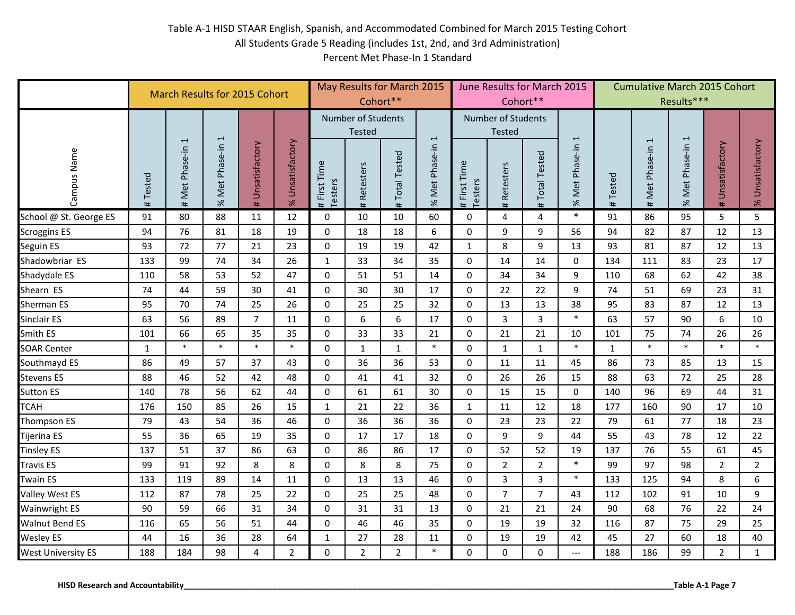|                                         |             | <b>March Results for 2015 Cohort</b> |                |                     |                     |                                | Cohort**                                   | May Results for March 2015 |                          |                                |                                            | June Results for March 2015<br>Cohort** |                           |             | <b>Cumulative March 2015 Cohort</b> | Results***       |                     |                      |
|-----------------------------------------|-------------|--------------------------------------|----------------|---------------------|---------------------|--------------------------------|--------------------------------------------|----------------------------|--------------------------|--------------------------------|--------------------------------------------|-----------------------------------------|---------------------------|-------------|-------------------------------------|------------------|---------------------|----------------------|
|                                         |             | $\overline{ }$                       | 1              |                     |                     |                                | <b>Number of Students</b><br><b>Tested</b> |                            | $\overline{\phantom{a}}$ |                                | <b>Number of Students</b><br><b>Tested</b> |                                         | $\overline{ }$            |             | $\overline{\phantom{0}}$            |                  |                     |                      |
| Campus Name                             | Tested<br># | Met Phase-in<br>#                    | % Met Phase-in | Unsatisfactory<br># | Unsatisfactory<br>% | First Time<br>Testers<br>$\pm$ | <b>Retesters</b><br>#                      | <b>Total Tested</b><br>#   | % Met Phase-in           | First Time<br>Testers<br>$\pm$ | Retesters<br>#                             | <b>Total Tested</b><br>#                | Phase-in<br>Met I<br>$\%$ | Tested<br># | Met Phase-in<br>#                   | % Met Phase-in 1 | Unsatisfactory<br># | Unsatisfactory<br>Se |
| School @ St. George ES                  | 91          | 80                                   | 88             | 11                  | 12                  | 0                              | 10                                         | 10                         | 60                       | 0                              | $\overline{\mathbf{4}}$                    | 4                                       | $\ast$                    | 91          | 86                                  | 95               | 5                   | 5                    |
| <b>Scroggins ES</b>                     | 94          | 76                                   | 81             | 18                  | 19                  | $\mathbf 0$                    | 18                                         | 18                         | 6                        | 0                              | 9                                          | 9                                       | 56                        | 94          | 82                                  | 87               | 12                  | 13                   |
| Seguin ES                               | 93          | 72                                   | 77             | 21                  | 23                  | 0                              | 19                                         | 19                         | 42                       | $1\,$                          | 8                                          | 9                                       | 13                        | 93          | 81                                  | 87               | 12                  | 13                   |
| Shadowbriar ES                          | 133         | 99                                   | 74             | 34                  | 26                  | $\mathbf 1$                    | 33                                         | 34                         | 35                       | $\mathbf 0$                    | 14                                         | 14                                      | $\mathbf 0$               | 134         | 111                                 | 83               | 23                  | 17                   |
| Shadydale ES                            | 110         | 58                                   | 53             | 52                  | 47                  | $\mathbf 0$                    | 51                                         | 51                         | 14                       | 0                              | 34                                         | 34                                      | 9                         | 110         | 68                                  | 62               | 42                  | 38                   |
| Shearn ES                               | 74          | 44                                   | 59             | 30                  | 41                  | 0                              | 30                                         | 30                         | 17                       | 0                              | 22                                         | 22                                      | 9                         | 74          | 51                                  | 69               | 23                  | 31                   |
| Sherman ES                              | 95          | 70                                   | 74             | 25                  | 26                  | 0                              | 25                                         | 25                         | 32                       | 0                              | 13                                         | 13                                      | 38                        | 95          | 83                                  | 87               | 12                  | 13                   |
| Sinclair ES                             | 63          | 56                                   | 89             | $\overline{7}$      | 11                  | $\Omega$                       | 6                                          | 6                          | 17                       | $\Omega$                       | $\overline{3}$                             | $\overline{3}$                          | $\ast$                    | 63          | 57                                  | 90               | 6                   | 10                   |
| Smith ES                                | 101         | 66                                   | 65             | 35                  | 35                  | $\mathbf 0$                    | 33                                         | 33                         | 21                       | $\Omega$                       | 21                                         | 21                                      | 10                        | 101         | 75                                  | 74               | 26                  | 26                   |
| <b>SOAR Center</b>                      | $\mathbf 1$ | $\ast$                               | $\ast$         | $\ast$              | $\ast$              | $\mathbf 0$                    | $\mathbf 1$                                | $\mathbf{1}$               | $\ast$                   | 0                              | $\mathbf{1}$                               | 1                                       | $\ast$                    | $\mathbf 1$ | $\ast$                              | $\ast$           | $\ast$              | $\ast$               |
| Southmayd ES                            | 86          | 49                                   | 57             | 37                  | 43                  | $\mathbf 0$                    | 36                                         | 36                         | 53                       | 0                              | 11                                         | 11                                      | 45                        | 86          | 73                                  | 85               | 13                  | 15                   |
| Stevens ES                              | 88          | 46                                   | 52             | 42                  | 48                  | $\mathbf 0$                    | 41                                         | 41                         | 32                       | 0                              | 26                                         | 26                                      | 15                        | 88          | 63                                  | 72               | 25                  | 28                   |
| Sutton ES                               | 140         | 78                                   | 56             | 62                  | 44                  | $\mathbf 0$                    | 61                                         | 61                         | 30                       | 0                              | 15                                         | 15                                      | $\mathbf 0$               | 140         | 96                                  | 69               | 44                  | 31                   |
| <b>TCAH</b>                             | 176         | 150                                  | 85             | 26                  | 15                  | $\mathbf 1$                    | 21                                         | 22                         | 36                       | $\mathbf 1$                    | 11                                         | 12                                      | 18                        | 177         | 160                                 | 90               | 17                  | 10                   |
| Thompson ES                             | 79          | 43                                   | 54             | 36                  | 46                  | $\mathbf 0$                    | 36                                         | 36                         | 36                       | $\mathbf 0$                    | 23                                         | 23                                      | 22                        | 79          | 61                                  | 77               | 18                  | 23                   |
| Tijerina ES                             | 55          | 36                                   | 65             | 19                  | 35                  | $\mathbf 0$                    | 17                                         | 17                         | 18                       | $\mathbf 0$                    | 9                                          | 9                                       | 44                        | 55          | 43                                  | 78               | 12                  | 22                   |
| <b>Tinsley ES</b>                       | 137         | 51                                   | 37             | 86                  | 63                  | $\mathbf 0$                    | 86                                         | 86                         | 17                       | 0                              | 52                                         | 52                                      | 19                        | 137         | 76                                  | 55               | 61                  | 45                   |
| Travis ES                               | 99          | 91                                   | 92             | 8                   | 8                   | 0                              | 8                                          | 8                          | 75                       | $\mathbf 0$                    | $\overline{2}$                             | $\overline{2}$                          | $\ast$                    | 99          | 97                                  | 98               | $\overline{2}$      | $\overline{2}$       |
| Twain ES                                | 133         | 119                                  | 89             | 14                  | 11                  | $\mathbf 0$                    | 13                                         | 13                         | 46                       | $\mathbf 0$                    | $\overline{3}$                             | 3                                       | $\ast$                    | 133         | 125                                 | 94               | 8                   | 6                    |
| Valley West ES                          | 112         | 87                                   | 78             | 25                  | 22                  | $\mathbf 0$                    | 25                                         | 25                         | 48                       | 0                              | $\overline{7}$                             | $\overline{7}$                          | 43                        | 112         | 102                                 | 91               | 10                  | 9                    |
| Wainwright ES                           | 90          | 59                                   | 66             | 31                  | 34                  | $\mathbf 0$                    | 31                                         | 31                         | 13                       | 0                              | 21                                         | 21                                      | 24                        | 90          | 68                                  | 76               | 22                  | 24                   |
| <b>Walnut Bend ES</b>                   | 116         | 65                                   | 56             | 51                  | 44                  | $\mathbf 0$                    | 46                                         | 46                         | 35                       | $\mathbf 0$                    | 19                                         | 19                                      | 32                        | 116         | 87                                  | 75               | 29                  | 25                   |
| Wesley ES                               | 44          | 16                                   | 36             | 28                  | 64                  | $\mathbf 1$                    | 27                                         | 28                         | 11                       | $\pmb{0}$                      | 19                                         | 19                                      | 42                        | 45          | 27                                  | 60               | 18                  | 40                   |
| <b>West University ES</b>               | 188         | 184                                  | 98             | 4                   | $\overline{2}$      | $\mathbf 0$                    | $\overline{2}$                             | $\overline{2}$             | $\ast$                   | 0                              | 0                                          | $\mathbf 0$                             | $\overline{\phantom{a}}$  | 188         | 186                                 | 99               | $\overline{2}$      | $\mathbf{1}$         |
| <b>HISD Research and Accountability</b> |             |                                      |                |                     |                     |                                |                                            |                            |                          |                                |                                            |                                         |                           |             |                                     | Table A-1 Page 7 |                     |                      |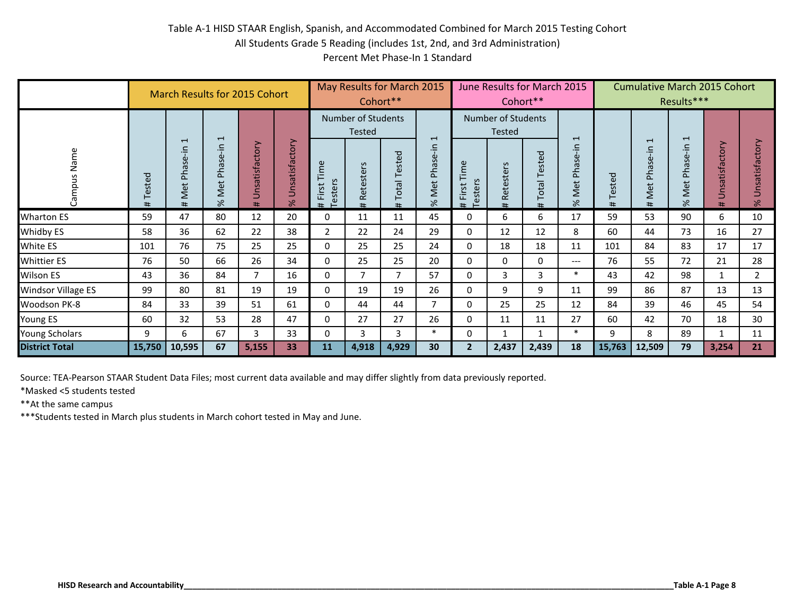|                                                                                                                                                                                                                                                                               |         | March Results for 2015 Cohort  |                  |                              |                  |                            | Cohort**                                       | May Results for March 2015 |                                  |                         |                                             | June Results for March 2015<br>Cohort** |                                  |             | <b>Cumulative March 2015 Cohort</b> | Results***       |                             |                        |
|-------------------------------------------------------------------------------------------------------------------------------------------------------------------------------------------------------------------------------------------------------------------------------|---------|--------------------------------|------------------|------------------------------|------------------|----------------------------|------------------------------------------------|----------------------------|----------------------------------|-------------------------|---------------------------------------------|-----------------------------------------|----------------------------------|-------------|-------------------------------------|------------------|-----------------------------|------------------------|
| Campus Name                                                                                                                                                                                                                                                                   | #Tested | Met Phase-in 1<br>$\pmb{\ast}$ | % Met Phase-in 1 | Unsatisfactory<br>$\ddagger$ | % Unsatisfactory | First Time<br>Testers<br># | Number of Students<br>Tested<br>Retesters<br># | <b>Total Tested</b><br>#   | $\overline{1}$<br>% Met Phase-in | # First Time<br>Testers | Number of Students<br>Tested<br># Retesters | <b>Total Tested</b><br>#                | $\overline{ }$<br>% Met Phase-in | Tested<br># | Met Phase-in 1<br>$\pmb{\ast}$      | % Met Phase-in 1 | Unsatisfactory<br>$\ddot{}$ | Unsatisfactory<br>$\%$ |
| <b>Wharton ES</b>                                                                                                                                                                                                                                                             | 59      | 47                             | 80               | 12                           | 20               | 0                          | 11                                             | 11                         | 45                               | 0                       | 6                                           | 6                                       | 17                               | 59          | 53                                  | 90               | 6                           | 10                     |
| Whidby ES                                                                                                                                                                                                                                                                     | 58      | 36                             | 62               | 22                           | 38               | $\mathbf 2$                | 22                                             | 24                         | 29                               | $\pmb{0}$               | 12                                          | 12                                      | 8                                | 60          | 44                                  | 73               | 16                          | 27                     |
| White ES                                                                                                                                                                                                                                                                      | 101     | 76                             | 75               | 25                           | 25               | $\pmb{0}$                  | 25                                             | 25                         | 24                               | $\mathbf 0$             | 18                                          | 18                                      | 11                               | 101         | 84                                  | 83               | 17                          | 17                     |
| Whittier ES                                                                                                                                                                                                                                                                   | 76      | 50                             | 66               | 26                           | 34               | 0                          | 25                                             | 25                         | 20                               | $\pmb{0}$               | 0                                           | 0                                       | $\overline{\phantom{a}}$         | 76          | 55                                  | 72               | 21                          | 28                     |
| $\overline{7}$<br>$\ast$<br>36<br>$\overline{7}$<br>$\overline{3}$<br>Wilson ES<br>43<br>84<br>$\overline{7}$<br>16<br>0<br>57<br>$\mathbf 0$<br>3<br>43<br>42<br>9<br>9<br>99<br>80<br>81<br>19<br>19<br>$\pmb{0}$<br>19<br>19<br>26<br>$\mathbf 0$<br>99<br>86<br>11        |         |                                |                  |                              |                  |                            |                                                |                            |                                  |                         |                                             |                                         |                                  |             | 98                                  | $\mathbf{1}$     | $\overline{2}$              |                        |
| Windsor Village ES                                                                                                                                                                                                                                                            |         |                                |                  |                              |                  |                            |                                                |                            |                                  |                         |                                             |                                         |                                  |             |                                     | 87               | 13                          | 13                     |
| Woodson PK-8                                                                                                                                                                                                                                                                  | 84      | 33                             | 39               | 51                           | 61               | $\mathbf 0$                | 44                                             | 44                         | $\overline{7}$                   | $\mathbf 0$             | 25                                          | 25                                      | 12                               | 84          | 39                                  | 46               | 45                          | 54                     |
| Young ES                                                                                                                                                                                                                                                                      | 60      | 32                             | 53               | 28                           | 47               | 0                          | 27                                             | 27                         | 26                               | 0                       | 11                                          | 11                                      | 27                               | 60          | 42                                  | 70               | 18                          | 30                     |
| Young Scholars                                                                                                                                                                                                                                                                | 9       | 6                              | 67               | $\overline{3}$               | 33               | $\pmb{0}$                  | 3                                              | 3                          | $\ast$                           | $\pmb{0}$               | $\mathbf{1}$                                | $1\,$                                   | $\ast$                           | 9           | 8                                   | 89               | $\mathbf{1}$                | 11                     |
| <b>District Total</b>                                                                                                                                                                                                                                                         | 15,750  | 10,595                         | 67               | 5,155                        | 33               | 11                         | 4,918                                          | 4,929                      | 30                               | $\overline{2}$          | 2,437                                       | 2,439                                   | 18                               | 15,763      | 12,509                              | 79               | 3,254                       | 21                     |
| Source: TEA-Pearson STAAR Student Data Files; most current data available and may differ slightly from data previously reported.<br>*Masked <5 students tested<br>** At the same campus<br>*** Students tested in March plus students in March cohort tested in May and June. |         |                                |                  |                              |                  |                            |                                                |                            |                                  |                         |                                             |                                         |                                  |             |                                     |                  |                             |                        |
| <b>HISD Research and Accountability</b>                                                                                                                                                                                                                                       |         |                                |                  |                              |                  |                            |                                                |                            |                                  |                         |                                             |                                         |                                  |             |                                     |                  | Table A-1 Page 8            |                        |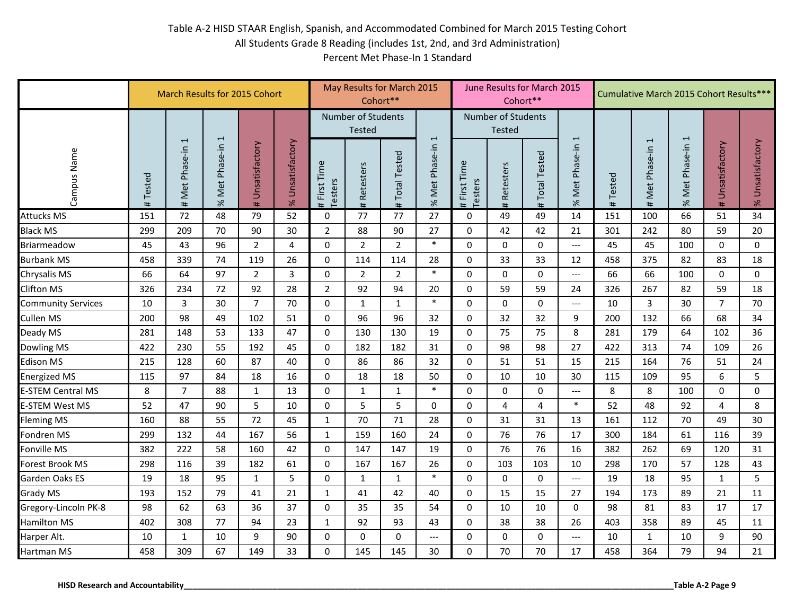|                                         |             | March Results for 2015 Cohort |                  |                     |                  |                            | Cohort**                                   | May Results for March 2015 |                          |                            | June Results for March 2015                | Cohort**                 |                             |         | Cumulative March 2015 Cohort Results*** |                  |                     |                        |
|-----------------------------------------|-------------|-------------------------------|------------------|---------------------|------------------|----------------------------|--------------------------------------------|----------------------------|--------------------------|----------------------------|--------------------------------------------|--------------------------|-----------------------------|---------|-----------------------------------------|------------------|---------------------|------------------------|
|                                         |             |                               |                  |                     |                  |                            | <b>Number of Students</b><br><b>Tested</b> |                            | $\overline{\phantom{a}}$ |                            | <b>Number of Students</b><br><b>Tested</b> |                          | $\overline{ }$              |         |                                         |                  |                     |                        |
| Campus Name                             | Tested<br># | Met Phase-in 1<br>$\pmb{\mp}$ | % Met Phase-in 1 | Unsatisfactory<br># | % Unsatisfactory | First Time<br>Testers<br># | <b>Retesters</b><br>#                      | <b>Total Tested</b><br>#   | % Met Phase-in           | First Time<br>Testers<br># | Retesters<br>#                             | <b>Total Tested</b><br># | Phase-in<br>Met<br>$\aleph$ | #Tested | Met Phase-in 1<br>#                     | % Met Phase-in 1 | Unsatisfactory<br># | Unsatisfactory<br>$\%$ |
| <b>Attucks MS</b>                       | 151         | 72                            | 48               | 79                  | 52               | $\boldsymbol{0}$           | 77                                         | 77                         | 27                       | $\pmb{0}$                  | 49                                         | 49                       | 14                          | 151     | 100                                     | 66               | 51                  | 34                     |
| Black MS                                | 299         | 209                           | 70               | 90                  | 30               | $\overline{2}$             | 88                                         | 90                         | 27                       | $\mathbf 0$                | 42                                         | 42                       | 21                          | 301     | 242                                     | 80               | 59                  | 20                     |
| Briarmeadow                             | 45          | 43                            | 96               | $\overline{2}$      | 4                | $\mathbf 0$                | $\overline{2}$                             | $\overline{2}$             | $\ast$                   | $\mathbf 0$                | 0                                          | 0                        | $\qquad \qquad - -$         | 45      | 45                                      | 100              | $\mathbf 0$         | $\mathbf 0$            |
| <b>Burbank MS</b>                       | 458         | 339                           | 74               | 119                 | 26               | $\mathbf 0$                | 114                                        | 114                        | 28                       | $\Omega$                   | 33                                         | 33                       | 12                          | 458     | 375                                     | 82               | 83                  | 18                     |
| Chrysalis MS                            | 66          | 64                            | 97               | $\overline{2}$      | 3                | 0                          | $\overline{2}$                             | $\overline{2}$             | $\ast$                   | $\mathbf 0$                | 0                                          | $\mathbf 0$              | $\qquad \qquad - -$         | 66      | 66                                      | 100              | 0                   | $\mathbf 0$            |
| <b>Clifton MS</b>                       | 326         | 234                           | 72               | 92                  | 28               | $\overline{2}$             | 92                                         | 94                         | 20                       | 0                          | 59                                         | 59                       | 24                          | 326     | 267                                     | 82               | 59                  | 18                     |
| <b>Community Services</b>               | 10          | 3                             | 30               | $\overline{7}$      | 70               | $\Omega$                   | $\mathbf{1}$                               | $\mathbf{1}$               | $\ast$                   | $\Omega$                   | $\Omega$                                   | $\Omega$                 | $\qquad \qquad - -$         | 10      | 3                                       | 30               | $\overline{7}$      | 70                     |
| Cullen MS                               | 200         | 98                            | 49               | 102                 | 51               | 0                          | 96                                         | 96                         | 32                       | 0                          | 32                                         | 32                       | 9                           | 200     | 132                                     | 66               | 68                  | 34                     |
| Deady MS                                | 281         | 148                           | 53               | 133                 | 47               | $\mathbf 0$                | 130                                        | 130                        | 19                       | $\mathbf 0$                | 75                                         | 75                       | 8                           | 281     | 179                                     | 64               | 102                 | 36                     |
| Dowling MS                              | 422         | 230                           | 55               | 192                 | 45               | $\Omega$                   | 182                                        | 182                        | 31                       | $\Omega$                   | 98                                         | 98                       | 27                          | 422     | 313                                     | 74               | 109                 | 26                     |
| <b>Edison MS</b>                        | 215         | 128                           | 60               | 87                  | 40               | 0                          | 86                                         | 86                         | 32                       | $\mathbf 0$                | 51                                         | 51                       | 15                          | 215     | 164                                     | 76               | 51                  | 24                     |
| <b>Energized MS</b>                     | 115         | 97                            | 84               | 18                  | 16               | 0                          | 18                                         | 18                         | 50                       | 0                          | 10                                         | 10                       | 30                          | 115     | 109                                     | 95               | 6                   | 5                      |
| <b>E-STEM Central MS</b>                | 8           | $\overline{7}$                | 88               | $\mathbf{1}$        | 13               | 0                          | $\mathbf{1}$                               | $\mathbf{1}$               | $\ast$                   | $\mathbf 0$                | 0                                          | 0                        | $\qquad \qquad - -$         | 8       | 8                                       | 100              | $\mathbf 0$         | $\mathbf 0$            |
| <b>E-STEM West MS</b>                   | 52          | 47                            | 90               | 5                   | 10               | $\mathbf 0$                | 5                                          | 5                          | 0                        | $\mathbf 0$                | 4                                          | 4                        | $\ast$                      | 52      | 48                                      | 92               | $\overline{4}$      | 8                      |
| <b>Fleming MS</b>                       | 160         | 88                            | 55               | 72                  | 45               | $\mathbf{1}$               | 70                                         | 71                         | 28                       | $\Omega$                   | 31                                         | 31                       | 13                          | 161     | 112                                     | 70               | 49                  | 30                     |
| Fondren MS                              | 299         | 132                           | 44               | 167                 | 56               | $\mathbf{1}$               | 159                                        | 160                        | 24                       | $\mathbf 0$                | 76                                         | 76                       | 17                          | 300     | 184                                     | 61               | 116                 | 39                     |
| Fonville MS                             | 382         | 222                           | 58               | 160                 | 42               | $\mathbf 0$                | 147                                        | 147                        | 19                       | $\mathbf 0$                | 76                                         | 76                       | 16                          | 382     | 262                                     | 69               | 120                 | 31                     |
| Forest Brook MS                         | 298         | 116                           | 39               | 182                 | 61               | $\Omega$                   | 167                                        | 167                        | 26                       | $\Omega$                   | 103                                        | 103                      | 10                          | 298     | 170                                     | 57               | 128                 | 43                     |
| Garden Oaks ES                          | 19          | 18                            | 95               | $\mathbf{1}$        | 5                | $\mathbf 0$                | 1                                          | 1                          | $\ast$                   | $\Omega$                   | 0                                          | $\mathbf 0$              | $\overline{\phantom{a}}$    | 19      | 18                                      | 95               | $\mathbf{1}$        | 5                      |
| <b>Grady MS</b>                         | 193         | 152                           | 79               | 41                  | 21               | $\mathbf{1}$               | 41                                         | 42                         | 40                       | $\Omega$                   | 15                                         | 15                       | 27                          | 194     | 173                                     | 89               | 21                  | 11                     |
| Gregory-Lincoln PK-8                    | 98          | 62                            | 63               | 36                  | 37               | $\mathbf 0$                | 35                                         | 35                         | 54                       | $\mathbf 0$                | 10                                         | 10                       | $\Omega$                    | 98      | 81                                      | 83               | 17                  | 17                     |
| <b>Hamilton MS</b>                      | 402         | 308                           | 77               | 94                  | 23               | $\mathbf{1}$               | 92                                         | 93                         | 43                       | $\mathbf 0$                | 38                                         | 38                       | 26                          | 403     | 358                                     | 89               | 45                  | 11                     |
| Harper Alt.                             | 10          | $\mathbf{1}$                  | 10               | 9                   | 90               | $\boldsymbol{0}$           | $\Omega$                                   | $\Omega$                   | $---$                    | $\Omega$                   | 0                                          | $\Omega$                 | $---$                       | 10      | $\mathbf{1}$                            | 10               | 9                   | 90                     |
| Hartman MS                              | 458         | 309                           | 67               | 149                 | 33               | $\mathbf 0$                | 145                                        | 145                        | 30                       | $\mathbf 0$                | 70                                         | 70                       | 17                          | 458     | 364                                     | 79               | 94                  | 21                     |
| <b>HISD Research and Accountability</b> |             |                               |                  |                     |                  |                            |                                            |                            |                          |                            |                                            |                          |                             |         |                                         |                  | Table A-2 Page 9    |                        |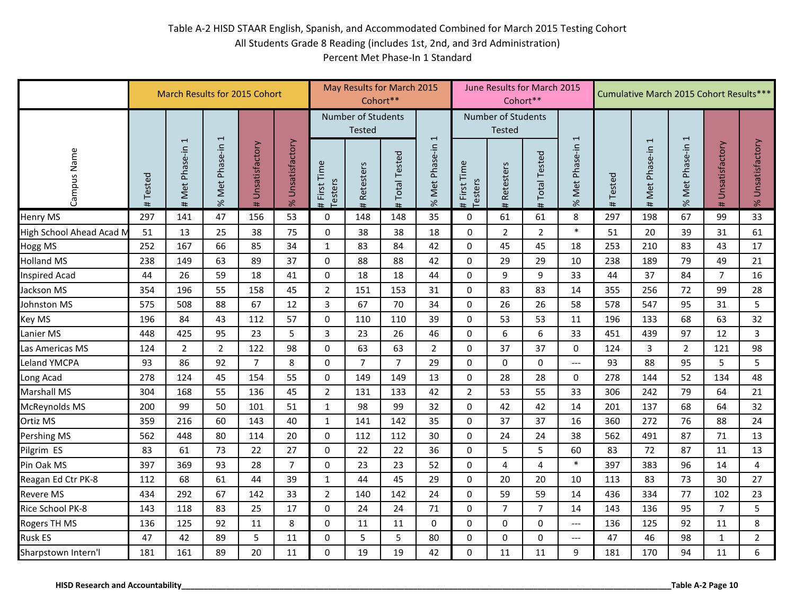|                                         | March Results for 2015 Cohort | May Results for March 2015<br>Cohort** |                  |                     |                  | June Results for March 2015<br>Cohort** |                |                          |                          | Cumulative March 2015 Cohort Results***    |                |                          |                          |             |                        |                  |                     |                  |
|-----------------------------------------|-------------------------------|----------------------------------------|------------------|---------------------|------------------|-----------------------------------------|----------------|--------------------------|--------------------------|--------------------------------------------|----------------|--------------------------|--------------------------|-------------|------------------------|------------------|---------------------|------------------|
|                                         |                               |                                        |                  |                     |                  | <b>Number of Students</b><br>Tested     |                |                          | $\overline{\phantom{a}}$ | <b>Number of Students</b><br><b>Tested</b> |                |                          | 1                        |             |                        |                  |                     |                  |
| Campus Name                             | Tested<br>#                   | $\overline{1}$<br>Met Phase-in<br>#    | % Met Phase-in 1 | Unsatisfactory<br># | % Unsatisfactory | First Time<br>Testers<br>#              | Retesters<br># | <b>Total Tested</b><br># | % Met Phase-in           | First Time<br>Testers<br>#                 | Retesters<br># | <b>Total Tested</b><br># | Phase-in<br>Met<br>$\%$  | Tested<br># | 1<br>Met Phase-in<br># | % Met Phase-in 1 | Unsatisfactory<br># | % Unsatisfactory |
| <b>Henry MS</b>                         | 297                           | 141                                    | 47               | 156                 | 53               | $\mathbf 0$                             | 148            | 148                      | 35                       | $\mathbf 0$                                | 61             | 61                       | 8                        | 297         | 198                    | 67               | 99                  | 33               |
| High School Ahead Acad M                | 51                            | 13                                     | 25               | 38                  | 75               | 0                                       | 38             | 38                       | 18                       | 0                                          | $\overline{2}$ | $\overline{2}$           | $\ast$                   | 51          | 20                     | 39               | 31                  | 61               |
| <b>Hogg MS</b>                          | 252                           | 167                                    | 66               | 85                  | 34               | $\mathbf{1}$                            | 83             | 84                       | 42                       | 0                                          | 45             | 45                       | 18                       | 253         | 210                    | 83               | 43                  | 17               |
| <b>Holland MS</b>                       | 238                           | 149                                    | 63               | 89                  | 37               | 0                                       | 88             | 88                       | 42                       | 0                                          | 29             | 29                       | 10                       | 238         | 189                    | 79               | 49                  | 21               |
| <b>Inspired Acad</b>                    | 44                            | 26                                     | 59               | 18                  | 41               | $\mathbf 0$                             | 18             | 18                       | 44                       | $\mathbf 0$                                | 9              | 9                        | 33                       | 44          | 37                     | 84               | $\overline{7}$      | 16               |
| Jackson MS                              | 354                           | 196                                    | 55               | 158                 | 45               | $\overline{2}$                          | 151            | 153                      | 31                       | 0                                          | 83             | 83                       | 14                       | 355         | 256                    | 72               | 99                  | 28               |
| Johnston MS                             | 575                           | 508                                    | 88               | 67                  | 12               | 3                                       | 67             | 70                       | 34                       | $\mathbf 0$                                | 26             | 26                       | 58                       | 578         | 547                    | 95               | 31                  | 5                |
| Key MS                                  | 196                           | 84                                     | 43               | 112                 | 57               | $\mathbf 0$                             | 110            | 110                      | 39                       | $\mathbf 0$                                | 53             | 53                       | 11                       | 196         | 133                    | 68               | 63                  | 32               |
| Lanier MS                               | 448                           | 425                                    | 95               | 23                  | 5                | 3                                       | 23             | 26                       | 46                       | $\Omega$                                   | 6              | 6                        | 33                       | 451         | 439                    | 97               | 12                  | $\overline{3}$   |
| Las Americas MS                         | 124                           | $\overline{2}$                         | $\overline{2}$   | 122                 | 98               | $\Omega$                                | 63             | 63                       | $\overline{2}$           | $\Omega$                                   | 37             | 37                       | 0                        | 124         | $\overline{3}$         | $\overline{2}$   | 121                 | 98               |
| <b>Leland YMCPA</b>                     | 93                            | 86                                     | 92               | $\overline{7}$      | 8                | $\mathbf 0$                             | $\overline{7}$ | $\overline{7}$           | 29                       | 0                                          | 0              | $\mathbf 0$              | $---$                    | 93          | 88                     | 95               | 5                   | 5                |
| Long Acad                               | 278                           | 124                                    | 45               | 154                 | 55               | $\Omega$                                | 149            | 149                      | 13                       | $\Omega$                                   | 28             | 28                       | 0                        | 278         | 144                    | 52               | 134                 | 48               |
| Marshall MS                             | 304                           | 168                                    | 55               | 136                 | 45               | $\overline{2}$                          | 131            | 133                      | 42                       | 2                                          | 53             | 55                       | 33                       | 306         | 242                    | 79               | 64                  | 21               |
| McReynolds MS                           | 200                           | 99                                     | 50               | 101                 | 51               | $\mathbf{1}$                            | 98             | 99                       | 32                       | $\mathbf 0$                                | 42             | 42                       | 14                       | 201         | 137                    | 68               | 64                  | 32               |
| Ortiz MS                                | 359                           | 216                                    | 60               | 143                 | 40               | $\mathbf{1}$                            | 141            | 142                      | 35                       | $\mathbf 0$                                | 37             | 37                       | 16                       | 360         | 272                    | 76               | 88                  | 24               |
| Pershing MS                             | 562                           | 448                                    | 80               | 114                 | 20               | $\mathbf 0$                             | 112            | 112                      | 30                       | $\mathbf 0$                                | 24             | 24                       | 38                       | 562         | 491                    | 87               | 71                  | 13               |
| Pilgrim ES                              | 83                            | 61                                     | 73               | 22                  | 27               | $\mathbf 0$                             | 22             | 22                       | 36                       | $\mathbf 0$                                | 5              | 5                        | 60                       | 83          | 72                     | 87               | 11                  | 13               |
| Pin Oak MS                              | 397                           | 369                                    | 93               | 28                  | $\overline{7}$   | $\mathbf{0}$                            | 23             | 23                       | 52                       | $\mathbf 0$                                | 4              | $\overline{4}$           | $\ast$                   | 397         | 383                    | 96               | 14                  | $\overline{4}$   |
| Reagan Ed Ctr PK-8                      | 112                           | 68                                     | 61               | 44                  | 39               | $\mathbf{1}$                            | 44             | 45                       | 29                       | $\mathbf 0$                                | 20             | 20                       | 10                       | 113         | 83                     | 73               | 30                  | 27               |
| <b>Revere MS</b>                        | 434                           | 292                                    | 67               | 142                 | 33               | $\overline{2}$                          | 140            | 142                      | 24                       | 0                                          | 59             | 59                       | 14                       | 436         | 334                    | 77               | 102                 | 23               |
| Rice School PK-8                        | 143                           | 118                                    | 83               | 25                  | 17               | $\Omega$                                | 24             | 24                       | 71                       | $\Omega$                                   | $\overline{7}$ | $\overline{7}$           | 14                       | 143         | 136                    | 95               | $\overline{7}$      | 5                |
| Rogers TH MS                            | 136                           | 125                                    | 92               | 11                  | 8                | 0                                       | 11             | 11                       | 0                        | 0                                          | 0              | $\mathbf 0$              | $\overline{\phantom{a}}$ | 136         | 125                    | 92               | 11                  | 8                |
| <b>Rusk ES</b>                          | 47                            | 42                                     | 89               | 5                   | 11               | $\pmb{0}$                               | 5              | 5                        | 80                       | $\pmb{0}$                                  | 0              | $\pmb{0}$                | $---$                    | 47          | 46                     | 98               | $\mathbf{1}$        | $\overline{2}$   |
| Sharpstown Intern'l                     | 181                           | 161                                    | 89               | 20                  | 11               | $\mathbf 0$                             | 19             | 19                       | 42                       | 0                                          | 11             | 11                       | 9                        | 181         | 170                    | 94               | 11                  | 6                |
| <b>HISD Research and Accountability</b> |                               |                                        |                  |                     |                  |                                         |                |                          |                          |                                            |                |                          |                          |             |                        |                  | Table A-2 Page 10   |                  |